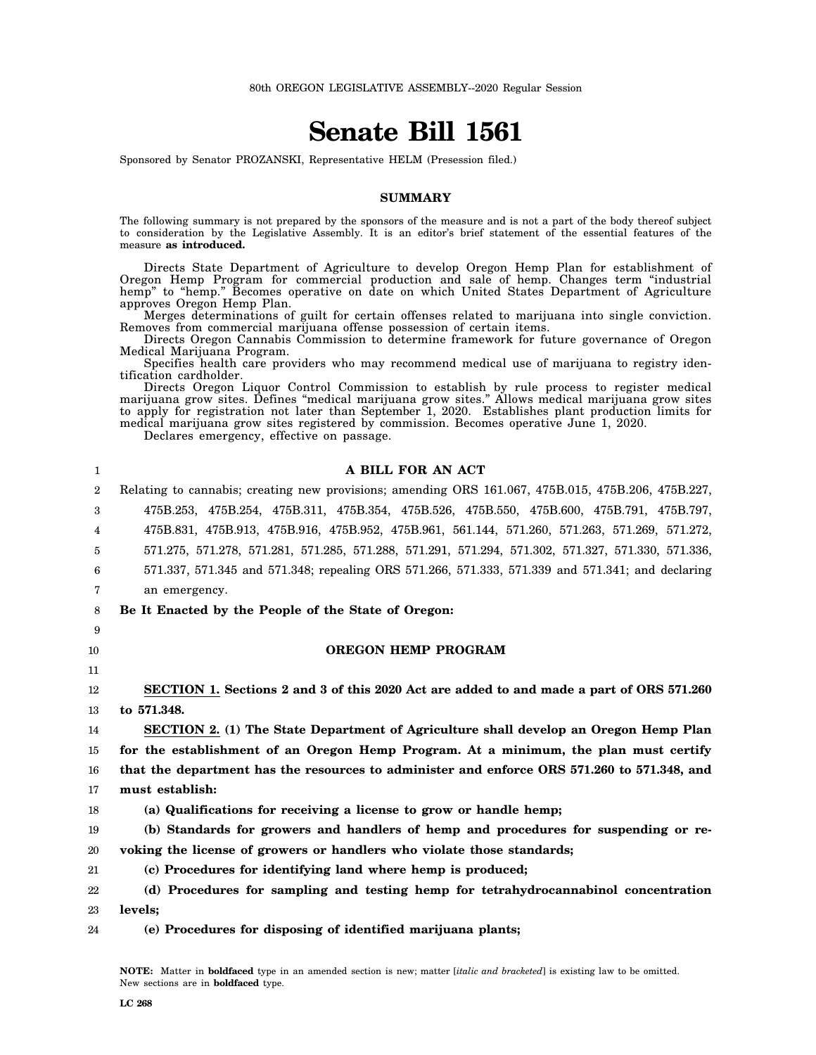# **Senate Bill 1561**

Sponsored by Senator PROZANSKI, Representative HELM (Presession filed.)

#### **SUMMARY**

The following summary is not prepared by the sponsors of the measure and is not a part of the body thereof subject to consideration by the Legislative Assembly. It is an editor's brief statement of the essential features of the measure **as introduced.**

Directs State Department of Agriculture to develop Oregon Hemp Plan for establishment of Oregon Hemp Program for commercial production and sale of hemp. Changes term "industrial hemp" to "hemp." Becomes operative on date on which United States Department of Agriculture approves Oregon Hemp Plan.

Merges determinations of guilt for certain offenses related to marijuana into single conviction. Removes from commercial marijuana offense possession of certain items.

Directs Oregon Cannabis Commission to determine framework for future governance of Oregon Medical Marijuana Program.

Specifies health care providers who may recommend medical use of marijuana to registry identification cardholder.

Directs Oregon Liquor Control Commission to establish by rule process to register medical marijuana grow sites. Defines "medical marijuana grow sites." Allows medical marijuana grow sites to apply for registration not later than September 1, 2020. Establishes plant production limits for medical marijuana grow sites registered by commission. Becomes operative June 1, 2020.

Declares emergency, effective on passage.

| 1  | A BILL FOR AN ACT                                                                                  |
|----|----------------------------------------------------------------------------------------------------|
| 2  | Relating to cannabis; creating new provisions; amending ORS 161.067, 475B.015, 475B.206, 475B.227, |
| 3  | 475B.253, 475B.254, 475B.311, 475B.354, 475B.526, 475B.550, 475B.600, 475B.791, 475B.797,          |
| 4  | 475B.831, 475B.913, 475B.916, 475B.952, 475B.961, 561.144, 571.260, 571.263, 571.269, 571.272,     |
| 5  | 571.275, 571.278, 571.281, 571.285, 571.288, 571.291, 571.294, 571.302, 571.327, 571.330, 571.336, |
| 6  | 571.337, 571.345 and 571.348; repealing ORS 571.266, 571.333, 571.339 and 571.341; and declaring   |
| 7  | an emergency.                                                                                      |
| 8  | Be It Enacted by the People of the State of Oregon:                                                |
| 9  |                                                                                                    |
| 10 | <b>OREGON HEMP PROGRAM</b>                                                                         |
| 11 |                                                                                                    |
| 12 | SECTION 1. Sections 2 and 3 of this 2020 Act are added to and made a part of ORS 571.260           |
| 13 | to 571.348.                                                                                        |
| 14 | <b>SECTION 2.</b> (1) The State Department of Agriculture shall develop an Oregon Hemp Plan        |
| 15 | for the establishment of an Oregon Hemp Program. At a minimum, the plan must certify               |
| 16 | that the department has the resources to administer and enforce ORS 571.260 to 571.348, and        |
| 17 | must establish:                                                                                    |
| 18 | (a) Qualifications for receiving a license to grow or handle hemp;                                 |
| 19 | (b) Standards for growers and handlers of hemp and procedures for suspending or re-                |
| 20 | voking the license of growers or handlers who violate those standards;                             |
| 21 | (c) Procedures for identifying land where hemp is produced;                                        |
| 22 | (d) Procedures for sampling and testing hemp for tetrahydrocannabinol concentration                |
| 23 | levels:                                                                                            |
| 24 | (e) Procedures for disposing of identified marijuana plants;                                       |

**NOTE:** Matter in **boldfaced** type in an amended section is new; matter [*italic and bracketed*] is existing law to be omitted. New sections are in **boldfaced** type.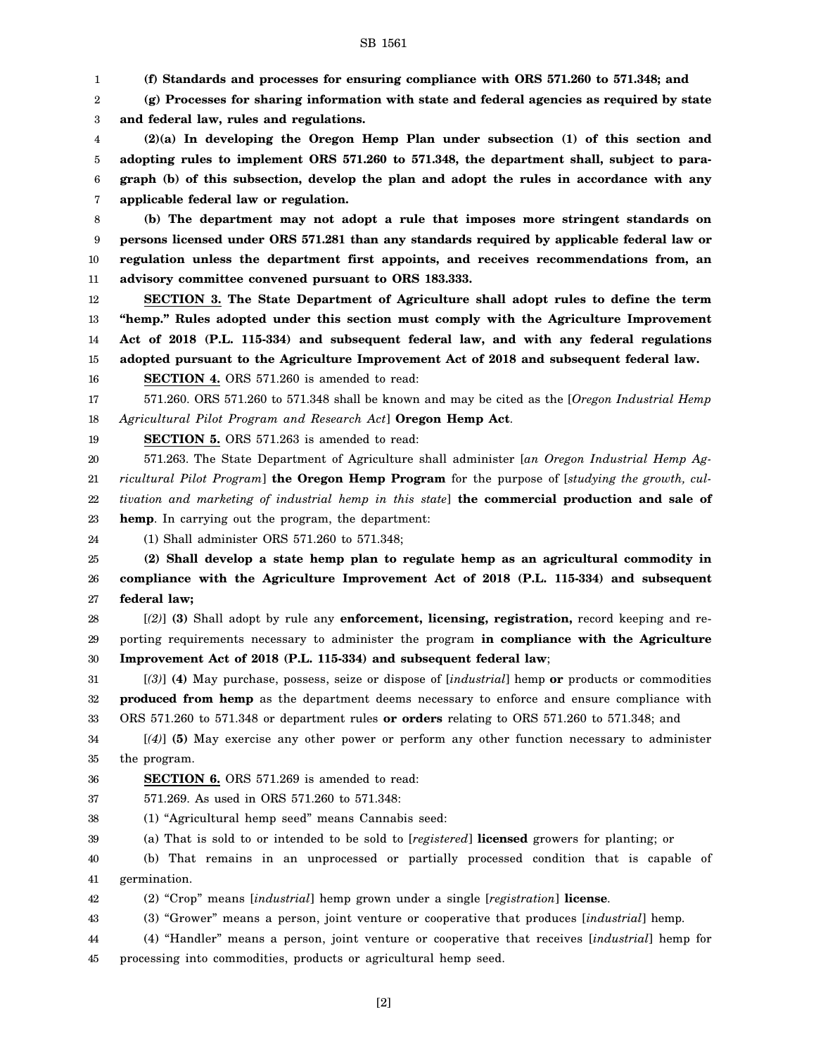1 **(f) Standards and processes for ensuring compliance with ORS 571.260 to 571.348; and**

2 3 **(g) Processes for sharing information with state and federal agencies as required by state and federal law, rules and regulations.**

4 5 6 7 **(2)(a) In developing the Oregon Hemp Plan under subsection (1) of this section and adopting rules to implement ORS 571.260 to 571.348, the department shall, subject to paragraph (b) of this subsection, develop the plan and adopt the rules in accordance with any applicable federal law or regulation.**

8 9 10 11 **(b) The department may not adopt a rule that imposes more stringent standards on persons licensed under ORS 571.281 than any standards required by applicable federal law or regulation unless the department first appoints, and receives recommendations from, an advisory committee convened pursuant to ORS 183.333.**

12 13 14 15 **SECTION 3. The State Department of Agriculture shall adopt rules to define the term "hemp." Rules adopted under this section must comply with the Agriculture Improvement Act of 2018 (P.L. 115-334) and subsequent federal law, and with any federal regulations adopted pursuant to the Agriculture Improvement Act of 2018 and subsequent federal law.**

16 **SECTION 4.** ORS 571.260 is amended to read:

17 18 571.260. ORS 571.260 to 571.348 shall be known and may be cited as the [*Oregon Industrial Hemp Agricultural Pilot Program and Research Act*] **Oregon Hemp Act**.

19 **SECTION 5.** ORS 571.263 is amended to read:

20 21 22 23 571.263. The State Department of Agriculture shall administer [*an Oregon Industrial Hemp Agricultural Pilot Program*] **the Oregon Hemp Program** for the purpose of [*studying the growth, cultivation and marketing of industrial hemp in this state*] **the commercial production and sale of hemp**. In carrying out the program, the department:

24 (1) Shall administer ORS 571.260 to 571.348;

25 26 27 **(2) Shall develop a state hemp plan to regulate hemp as an agricultural commodity in compliance with the Agriculture Improvement Act of 2018 (P.L. 115-334) and subsequent federal law;**

28 29 30 [*(2)*] **(3)** Shall adopt by rule any **enforcement, licensing, registration,** record keeping and reporting requirements necessary to administer the program **in compliance with the Agriculture Improvement Act of 2018 (P.L. 115-334) and subsequent federal law**;

31 32 33 [*(3)*] **(4)** May purchase, possess, seize or dispose of [*industrial*] hemp **or** products or commodities **produced from hemp** as the department deems necessary to enforce and ensure compliance with ORS 571.260 to 571.348 or department rules **or orders** relating to ORS 571.260 to 571.348; and

34 35 [*(4)*] **(5)** May exercise any other power or perform any other function necessary to administer the program.

36 **SECTION 6.** ORS 571.269 is amended to read:

37 571.269. As used in ORS 571.260 to 571.348:

38 (1) "Agricultural hemp seed" means Cannabis seed:

39 (a) That is sold to or intended to be sold to [*registered*] **licensed** growers for planting; or

40 41 (b) That remains in an unprocessed or partially processed condition that is capable of germination.

42 (2) "Crop" means [*industrial*] hemp grown under a single [*registration*] **license**.

43 (3) "Grower" means a person, joint venture or cooperative that produces [*industrial*] hemp.

44 45 (4) "Handler" means a person, joint venture or cooperative that receives [*industrial*] hemp for processing into commodities, products or agricultural hemp seed.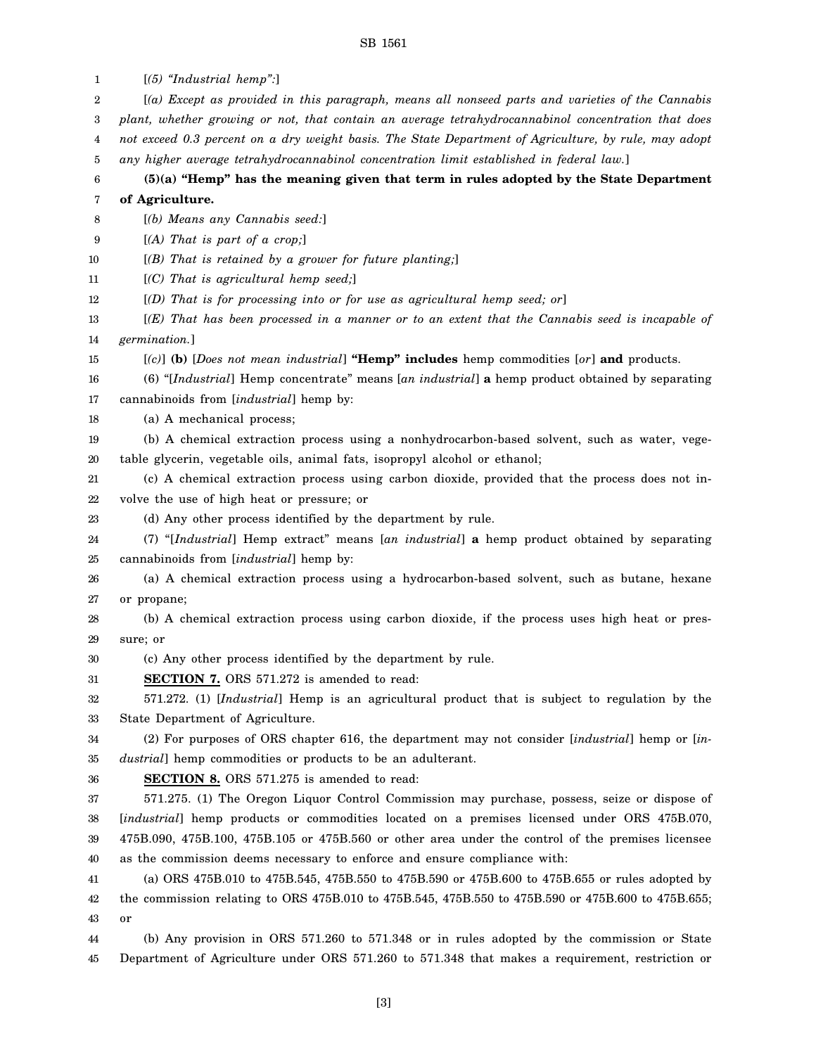| 1  | $[(5)$ "Industrial hemp":                                                                             |
|----|-------------------------------------------------------------------------------------------------------|
| 2  | [(a) Except as provided in this paragraph, means all nonseed parts and varieties of the Cannabis      |
| 3  | plant, whether growing or not, that contain an average tetrahydrocannabinol concentration that does   |
| 4  | not exceed 0.3 percent on a dry weight basis. The State Department of Agriculture, by rule, may adopt |
| 5  | any higher average tetrahydrocannabinol concentration limit established in federal law.]              |
| 6  | $(5)(a)$ "Hemp" has the meaning given that term in rules adopted by the State Department              |
| 7  | of Agriculture.                                                                                       |
| 8  | [(b) Means any Cannabis seed:]                                                                        |
| 9  | $[(A)$ That is part of a crop;                                                                        |
| 10 | $[(B)$ That is retained by a grower for future planting;                                              |
| 11 | $[ (C)$ That is agricultural hemp seed;                                                               |
| 12 | $[$ (D) That is for processing into or for use as agricultural hemp seed; or                          |
| 13 | $[(E)$ That has been processed in a manner or to an extent that the Cannabis seed is incapable of     |
| 14 | germination.]                                                                                         |
| 15 | $[ (c) ]$ (b) [Does not mean industrial] "Hemp" includes hemp commodities $[ or ]$ and products.      |
| 16 | (6) "[Industrial] Hemp concentrate" means [an industrial] a hemp product obtained by separating       |
| 17 | cannabinoids from [industrial] hemp by:                                                               |
| 18 | (a) A mechanical process;                                                                             |
| 19 | (b) A chemical extraction process using a nonhydrocarbon-based solvent, such as water, vege-          |
| 20 | table glycerin, vegetable oils, animal fats, isopropyl alcohol or ethanol;                            |
| 21 | (c) A chemical extraction process using carbon dioxide, provided that the process does not in-        |
| 22 | volve the use of high heat or pressure; or                                                            |
| 23 | (d) Any other process identified by the department by rule.                                           |
| 24 | (7) "[Industrial] Hemp extract" means [an industrial] a hemp product obtained by separating           |
| 25 | cannabinoids from [industrial] hemp by:                                                               |
| 26 | (a) A chemical extraction process using a hydrocarbon-based solvent, such as butane, hexane           |
| 27 | or propane;                                                                                           |
| 28 | (b) A chemical extraction process using carbon dioxide, if the process uses high heat or pres-        |
| 29 | sure; or                                                                                              |
| 30 | (c) Any other process identified by the department by rule.                                           |
| 31 | <b>SECTION 7.</b> ORS 571.272 is amended to read:                                                     |
| 32 | 571.272. (1) [Industrial] Hemp is an agricultural product that is subject to regulation by the        |
| 33 | State Department of Agriculture.                                                                      |
| 34 | (2) For purposes of ORS chapter 616, the department may not consider [industrial] hemp or [in-        |
| 35 | <i>dustrial</i> ] hemp commodities or products to be an adulterant.                                   |
| 36 | <b>SECTION 8.</b> ORS 571.275 is amended to read:                                                     |
| 37 | 571.275. (1) The Oregon Liquor Control Commission may purchase, possess, seize or dispose of          |
| 38 | [industrial] hemp products or commodities located on a premises licensed under ORS 475B.070,          |
| 39 | 475B.090, 475B.100, 475B.105 or 475B.560 or other area under the control of the premises licensee     |
| 40 | as the commission deems necessary to enforce and ensure compliance with:                              |
| 41 | (a) ORS 475B.010 to 475B.545, 475B.550 to 475B.590 or 475B.600 to 475B.655 or rules adopted by        |
| 42 | the commission relating to ORS 475B.010 to 475B.545, 475B.550 to 475B.590 or 475B.600 to 475B.655;    |
| 43 | or                                                                                                    |
| 44 | (b) Any provision in ORS 571.260 to 571.348 or in rules adopted by the commission or State            |
| 45 | Department of Agriculture under ORS 571.260 to 571.348 that makes a requirement, restriction or       |
|    |                                                                                                       |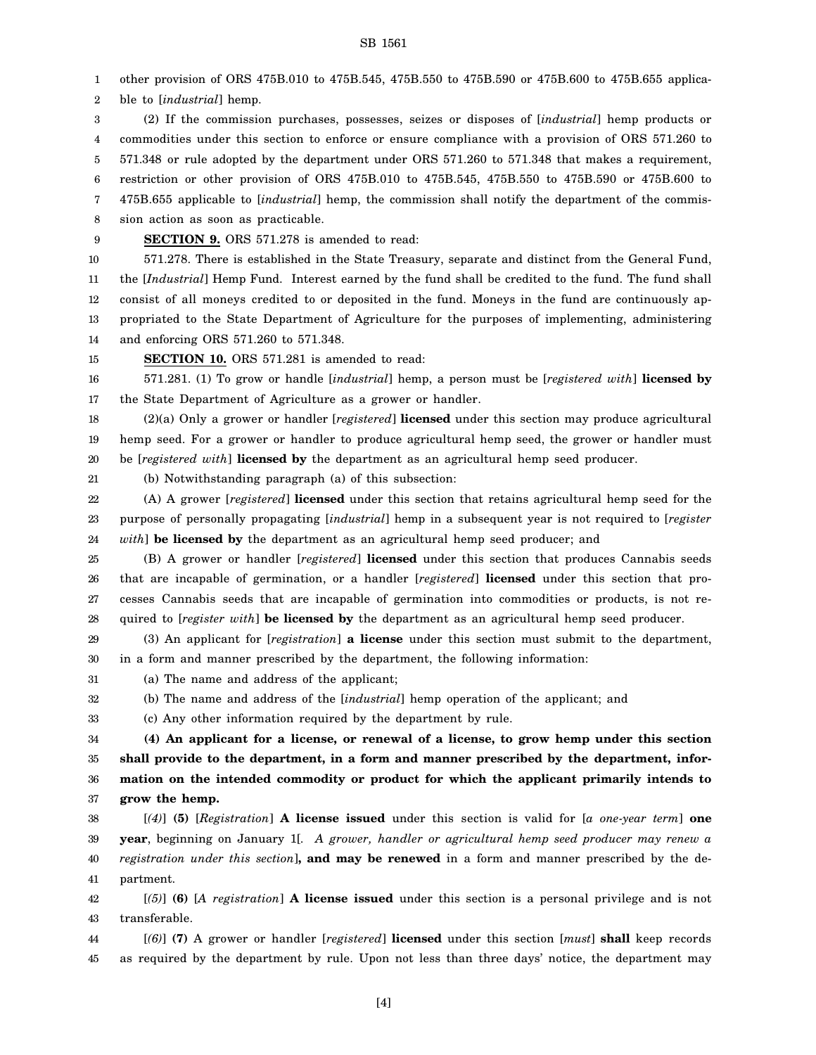1 other provision of ORS 475B.010 to 475B.545, 475B.550 to 475B.590 or 475B.600 to 475B.655 applica-

2 ble to [*industrial*] hemp.

3 4 5 6 7 8 (2) If the commission purchases, possesses, seizes or disposes of [*industrial*] hemp products or commodities under this section to enforce or ensure compliance with a provision of ORS 571.260 to 571.348 or rule adopted by the department under ORS 571.260 to 571.348 that makes a requirement, restriction or other provision of ORS 475B.010 to 475B.545, 475B.550 to 475B.590 or 475B.600 to 475B.655 applicable to [*industrial*] hemp, the commission shall notify the department of the commission action as soon as practicable.

9 **SECTION 9.** ORS 571.278 is amended to read:

10 11 12 13 14 571.278. There is established in the State Treasury, separate and distinct from the General Fund, the [*Industrial*] Hemp Fund. Interest earned by the fund shall be credited to the fund. The fund shall consist of all moneys credited to or deposited in the fund. Moneys in the fund are continuously appropriated to the State Department of Agriculture for the purposes of implementing, administering and enforcing ORS 571.260 to 571.348.

15

21

**SECTION 10.** ORS 571.281 is amended to read:

16 17 571.281. (1) To grow or handle [*industrial*] hemp, a person must be [*registered with*] **licensed by** the State Department of Agriculture as a grower or handler.

18 19 20 (2)(a) Only a grower or handler [*registered*] **licensed** under this section may produce agricultural hemp seed. For a grower or handler to produce agricultural hemp seed, the grower or handler must be [*registered with*] **licensed by** the department as an agricultural hemp seed producer.

(b) Notwithstanding paragraph (a) of this subsection:

22 23 24 (A) A grower [*registered*] **licensed** under this section that retains agricultural hemp seed for the purpose of personally propagating [*industrial*] hemp in a subsequent year is not required to [*register with*] **be licensed by** the department as an agricultural hemp seed producer; and

25 26 27 28 (B) A grower or handler [*registered*] **licensed** under this section that produces Cannabis seeds that are incapable of germination, or a handler [*registered*] **licensed** under this section that processes Cannabis seeds that are incapable of germination into commodities or products, is not required to [*register with*] **be licensed by** the department as an agricultural hemp seed producer.

29 30 (3) An applicant for [*registration*] **a license** under this section must submit to the department, in a form and manner prescribed by the department, the following information:

31 (a) The name and address of the applicant;

32 (b) The name and address of the [*industrial*] hemp operation of the applicant; and

33 (c) Any other information required by the department by rule.

34 35 36 37 **(4) An applicant for a license, or renewal of a license, to grow hemp under this section shall provide to the department, in a form and manner prescribed by the department, information on the intended commodity or product for which the applicant primarily intends to grow the hemp.**

38 39 40 41 [*(4)*] **(5)** [*Registration*] **A license issued** under this section is valid for [*a one-year term*] **one year**, beginning on January 1[*. A grower, handler or agricultural hemp seed producer may renew a registration under this section*]**, and may be renewed** in a form and manner prescribed by the department.

42 43 [*(5)*] **(6)** [*A registration*] **A license issued** under this section is a personal privilege and is not transferable.

44 45 [*(6)*] **(7)** A grower or handler [*registered*] **licensed** under this section [*must*] **shall** keep records as required by the department by rule. Upon not less than three days' notice, the department may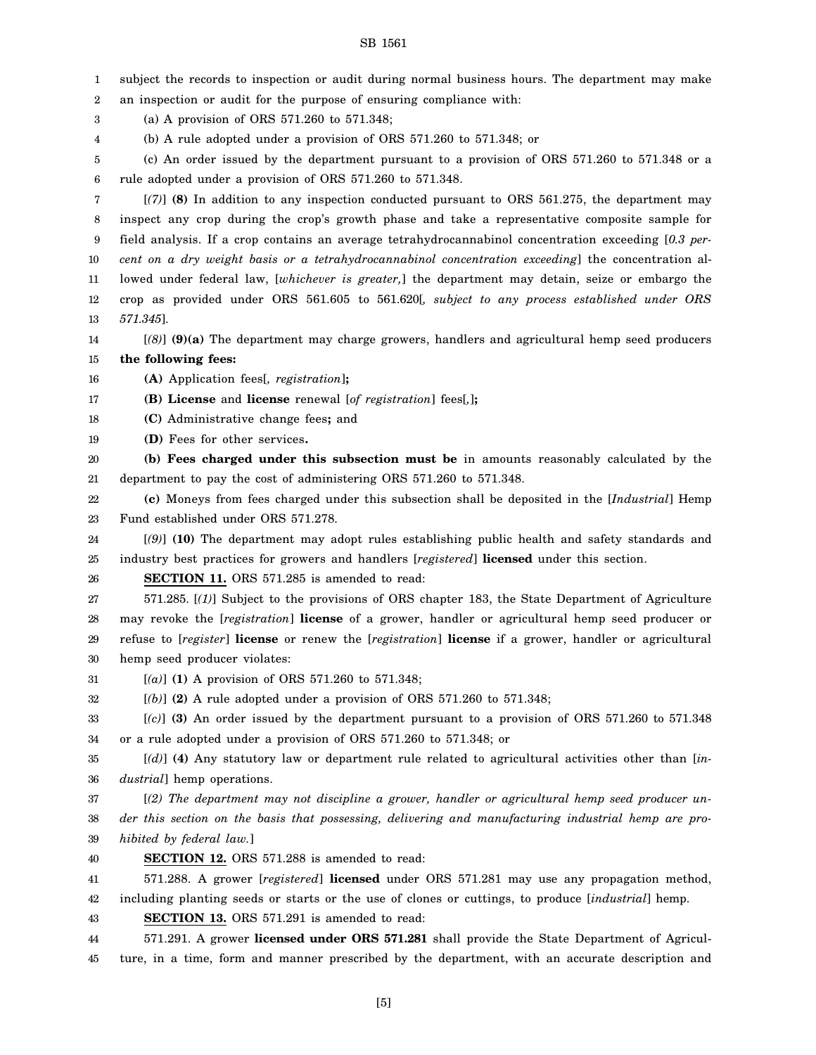1 2 3 4 5 6 7 8 9 10 11 12 13 14 15 16 17 18 19 20 21 22 23 24 25 26 27 28 29 30 31 32 33 34 35 36 37 38 39 40 41 42 43 44 45 subject the records to inspection or audit during normal business hours. The department may make an inspection or audit for the purpose of ensuring compliance with: (a) A provision of ORS 571.260 to 571.348; (b) A rule adopted under a provision of ORS 571.260 to 571.348; or (c) An order issued by the department pursuant to a provision of ORS 571.260 to 571.348 or a rule adopted under a provision of ORS 571.260 to 571.348. [*(7)*] **(8)** In addition to any inspection conducted pursuant to ORS 561.275, the department may inspect any crop during the crop's growth phase and take a representative composite sample for field analysis. If a crop contains an average tetrahydrocannabinol concentration exceeding [*0.3 percent on a dry weight basis or a tetrahydrocannabinol concentration exceeding*] the concentration allowed under federal law, [*whichever is greater,*] the department may detain, seize or embargo the crop as provided under ORS 561.605 to 561.620[*, subject to any process established under ORS 571.345*]. [*(8)*] **(9)(a)** The department may charge growers, handlers and agricultural hemp seed producers **the following fees: (A)** Application fees[*, registration*]**; (B) License** and **license** renewal [*of registration*] fees[*,*]**; (C)** Administrative change fees**;** and **(D)** Fees for other services**. (b) Fees charged under this subsection must be** in amounts reasonably calculated by the department to pay the cost of administering ORS 571.260 to 571.348. **(c)** Moneys from fees charged under this subsection shall be deposited in the [*Industrial*] Hemp Fund established under ORS 571.278. [*(9)*] **(10)** The department may adopt rules establishing public health and safety standards and industry best practices for growers and handlers [*registered*] **licensed** under this section. **SECTION 11.** ORS 571.285 is amended to read: 571.285. [*(1)*] Subject to the provisions of ORS chapter 183, the State Department of Agriculture may revoke the [*registration*] **license** of a grower, handler or agricultural hemp seed producer or refuse to [*register*] **license** or renew the [*registration*] **license** if a grower, handler or agricultural hemp seed producer violates: [*(a)*] **(1)** A provision of ORS 571.260 to 571.348; [*(b)*] **(2)** A rule adopted under a provision of ORS 571.260 to 571.348; [*(c)*] **(3)** An order issued by the department pursuant to a provision of ORS 571.260 to 571.348 or a rule adopted under a provision of ORS 571.260 to 571.348; or [*(d)*] **(4)** Any statutory law or department rule related to agricultural activities other than [*industrial*] hemp operations. [*(2) The department may not discipline a grower, handler or agricultural hemp seed producer under this section on the basis that possessing, delivering and manufacturing industrial hemp are prohibited by federal law.*] **SECTION 12.** ORS 571.288 is amended to read: 571.288. A grower [*registered*] **licensed** under ORS 571.281 may use any propagation method, including planting seeds or starts or the use of clones or cuttings, to produce [*industrial*] hemp. **SECTION 13.** ORS 571.291 is amended to read: 571.291. A grower **licensed under ORS 571.281** shall provide the State Department of Agriculture, in a time, form and manner prescribed by the department, with an accurate description and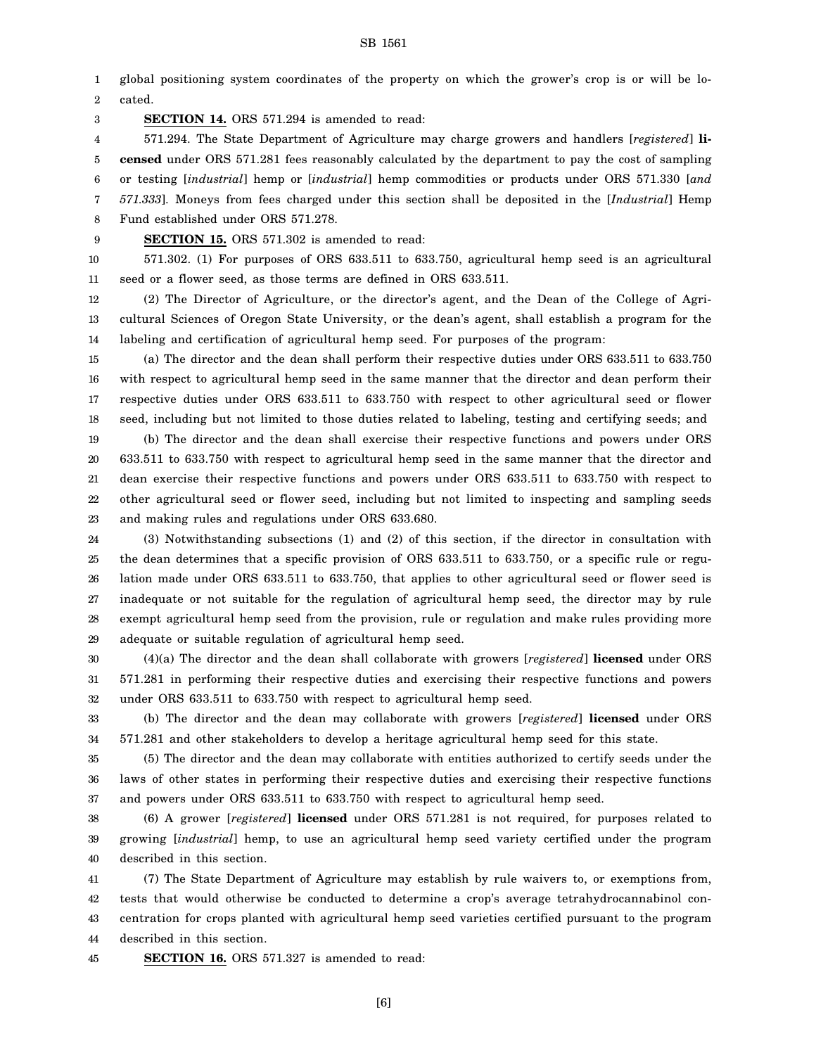1 2 global positioning system coordinates of the property on which the grower's crop is or will be located.

3 **SECTION 14.** ORS 571.294 is amended to read:

4 5 6 7 8 571.294. The State Department of Agriculture may charge growers and handlers [*registered*] **licensed** under ORS 571.281 fees reasonably calculated by the department to pay the cost of sampling or testing [*industrial*] hemp or [*industrial*] hemp commodities or products under ORS 571.330 [*and 571.333*]. Moneys from fees charged under this section shall be deposited in the [*Industrial*] Hemp Fund established under ORS 571.278.

9

**SECTION 15.** ORS 571.302 is amended to read:

10

11 571.302. (1) For purposes of ORS 633.511 to 633.750, agricultural hemp seed is an agricultural seed or a flower seed, as those terms are defined in ORS 633.511.

12 13 14 (2) The Director of Agriculture, or the director's agent, and the Dean of the College of Agricultural Sciences of Oregon State University, or the dean's agent, shall establish a program for the labeling and certification of agricultural hemp seed. For purposes of the program:

15 16 17 18 19 20 21 22 23 (a) The director and the dean shall perform their respective duties under ORS 633.511 to 633.750 with respect to agricultural hemp seed in the same manner that the director and dean perform their respective duties under ORS 633.511 to 633.750 with respect to other agricultural seed or flower seed, including but not limited to those duties related to labeling, testing and certifying seeds; and (b) The director and the dean shall exercise their respective functions and powers under ORS 633.511 to 633.750 with respect to agricultural hemp seed in the same manner that the director and dean exercise their respective functions and powers under ORS 633.511 to 633.750 with respect to other agricultural seed or flower seed, including but not limited to inspecting and sampling seeds and making rules and regulations under ORS 633.680.

24 25 26 27 28 29 (3) Notwithstanding subsections (1) and (2) of this section, if the director in consultation with the dean determines that a specific provision of ORS 633.511 to 633.750, or a specific rule or regulation made under ORS 633.511 to 633.750, that applies to other agricultural seed or flower seed is inadequate or not suitable for the regulation of agricultural hemp seed, the director may by rule exempt agricultural hemp seed from the provision, rule or regulation and make rules providing more adequate or suitable regulation of agricultural hemp seed.

30 31 32 (4)(a) The director and the dean shall collaborate with growers [*registered*] **licensed** under ORS 571.281 in performing their respective duties and exercising their respective functions and powers under ORS 633.511 to 633.750 with respect to agricultural hemp seed.

33 34 (b) The director and the dean may collaborate with growers [*registered*] **licensed** under ORS 571.281 and other stakeholders to develop a heritage agricultural hemp seed for this state.

35 36 37 (5) The director and the dean may collaborate with entities authorized to certify seeds under the laws of other states in performing their respective duties and exercising their respective functions and powers under ORS 633.511 to 633.750 with respect to agricultural hemp seed.

38 39 40 (6) A grower [*registered*] **licensed** under ORS 571.281 is not required, for purposes related to growing [*industrial*] hemp, to use an agricultural hemp seed variety certified under the program described in this section.

41 42 43 44 (7) The State Department of Agriculture may establish by rule waivers to, or exemptions from, tests that would otherwise be conducted to determine a crop's average tetrahydrocannabinol concentration for crops planted with agricultural hemp seed varieties certified pursuant to the program described in this section.

45 **SECTION 16.** ORS 571.327 is amended to read:

[6]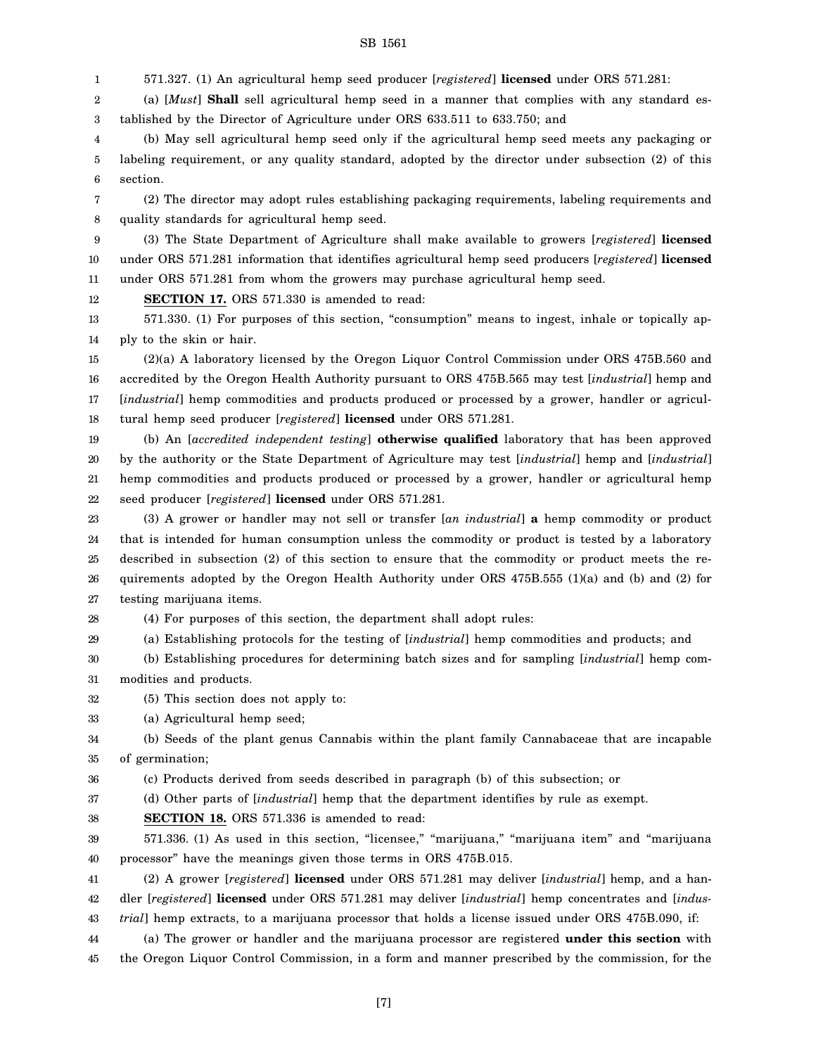1 571.327. (1) An agricultural hemp seed producer [*registered*] **licensed** under ORS 571.281:

2 3 (a) [*Must*] **Shall** sell agricultural hemp seed in a manner that complies with any standard established by the Director of Agriculture under ORS 633.511 to 633.750; and

4 5 6 (b) May sell agricultural hemp seed only if the agricultural hemp seed meets any packaging or labeling requirement, or any quality standard, adopted by the director under subsection (2) of this section.

7 8 (2) The director may adopt rules establishing packaging requirements, labeling requirements and quality standards for agricultural hemp seed.

9 10 11 (3) The State Department of Agriculture shall make available to growers [*registered*] **licensed** under ORS 571.281 information that identifies agricultural hemp seed producers [*registered*] **licensed** under ORS 571.281 from whom the growers may purchase agricultural hemp seed.

12 **SECTION 17.** ORS 571.330 is amended to read:

13 14 571.330. (1) For purposes of this section, "consumption" means to ingest, inhale or topically apply to the skin or hair.

15 16 17 18 (2)(a) A laboratory licensed by the Oregon Liquor Control Commission under ORS 475B.560 and accredited by the Oregon Health Authority pursuant to ORS 475B.565 may test [*industrial*] hemp and [*industrial*] hemp commodities and products produced or processed by a grower, handler or agricultural hemp seed producer [*registered*] **licensed** under ORS 571.281.

19 20 21 22 (b) An [*accredited independent testing*] **otherwise qualified** laboratory that has been approved by the authority or the State Department of Agriculture may test [*industrial*] hemp and [*industrial*] hemp commodities and products produced or processed by a grower, handler or agricultural hemp seed producer [*registered*] **licensed** under ORS 571.281.

23 24 25 26 27 (3) A grower or handler may not sell or transfer [*an industrial*] **a** hemp commodity or product that is intended for human consumption unless the commodity or product is tested by a laboratory described in subsection (2) of this section to ensure that the commodity or product meets the requirements adopted by the Oregon Health Authority under ORS 475B.555 (1)(a) and (b) and (2) for testing marijuana items.

28 (4) For purposes of this section, the department shall adopt rules:

29 (a) Establishing protocols for the testing of [*industrial*] hemp commodities and products; and

30 31 (b) Establishing procedures for determining batch sizes and for sampling [*industrial*] hemp commodities and products.

32 (5) This section does not apply to:

33 (a) Agricultural hemp seed;

34 35 (b) Seeds of the plant genus Cannabis within the plant family Cannabaceae that are incapable of germination;

36 (c) Products derived from seeds described in paragraph (b) of this subsection; or

37 38

**SECTION 18.** ORS 571.336 is amended to read:

39 40 571.336. (1) As used in this section, "licensee," "marijuana," "marijuana item" and "marijuana processor" have the meanings given those terms in ORS 475B.015.

(d) Other parts of [*industrial*] hemp that the department identifies by rule as exempt.

41 42 43 (2) A grower [*registered*] **licensed** under ORS 571.281 may deliver [*industrial*] hemp, and a handler [*registered*] **licensed** under ORS 571.281 may deliver [*industrial*] hemp concentrates and [*industrial*] hemp extracts, to a marijuana processor that holds a license issued under ORS 475B.090, if:

44 (a) The grower or handler and the marijuana processor are registered **under this section** with

45 the Oregon Liquor Control Commission, in a form and manner prescribed by the commission, for the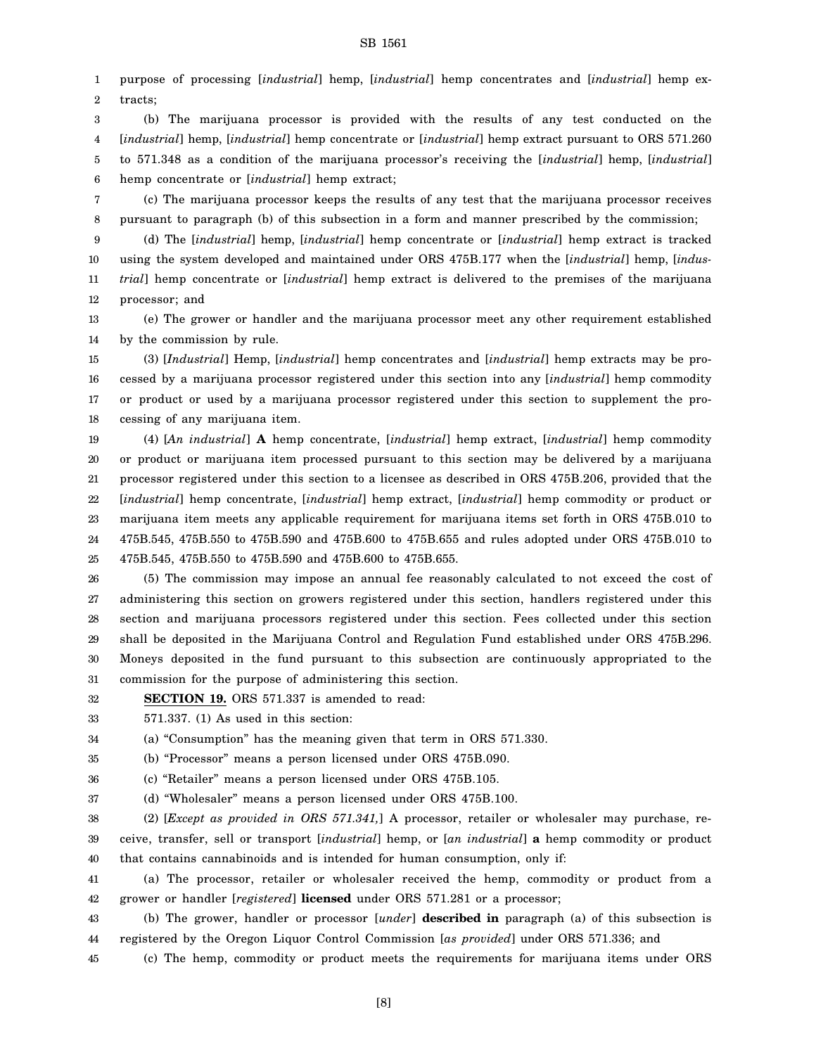1 2 purpose of processing [*industrial*] hemp, [*industrial*] hemp concentrates and [*industrial*] hemp extracts;

3 4 5 6 (b) The marijuana processor is provided with the results of any test conducted on the [*industrial*] hemp, [*industrial*] hemp concentrate or [*industrial*] hemp extract pursuant to ORS 571.260 to 571.348 as a condition of the marijuana processor's receiving the [*industrial*] hemp, [*industrial*] hemp concentrate or [*industrial*] hemp extract;

7 8 (c) The marijuana processor keeps the results of any test that the marijuana processor receives pursuant to paragraph (b) of this subsection in a form and manner prescribed by the commission;

9 10 11 12 (d) The [*industrial*] hemp, [*industrial*] hemp concentrate or [*industrial*] hemp extract is tracked using the system developed and maintained under ORS 475B.177 when the [*industrial*] hemp, [*industrial*] hemp concentrate or [*industrial*] hemp extract is delivered to the premises of the marijuana processor; and

13 14 (e) The grower or handler and the marijuana processor meet any other requirement established by the commission by rule.

15 16 17 18 (3) [*Industrial*] Hemp, [*industrial*] hemp concentrates and [*industrial*] hemp extracts may be processed by a marijuana processor registered under this section into any [*industrial*] hemp commodity or product or used by a marijuana processor registered under this section to supplement the processing of any marijuana item.

19 20 21 22 23 24 25 (4) [*An industrial*] **A** hemp concentrate, [*industrial*] hemp extract, [*industrial*] hemp commodity or product or marijuana item processed pursuant to this section may be delivered by a marijuana processor registered under this section to a licensee as described in ORS 475B.206, provided that the [*industrial*] hemp concentrate, [*industrial*] hemp extract, [*industrial*] hemp commodity or product or marijuana item meets any applicable requirement for marijuana items set forth in ORS 475B.010 to 475B.545, 475B.550 to 475B.590 and 475B.600 to 475B.655 and rules adopted under ORS 475B.010 to 475B.545, 475B.550 to 475B.590 and 475B.600 to 475B.655.

26 27 28 29 30 31 (5) The commission may impose an annual fee reasonably calculated to not exceed the cost of administering this section on growers registered under this section, handlers registered under this section and marijuana processors registered under this section. Fees collected under this section shall be deposited in the Marijuana Control and Regulation Fund established under ORS 475B.296. Moneys deposited in the fund pursuant to this subsection are continuously appropriated to the commission for the purpose of administering this section.

- 32 **SECTION 19.** ORS 571.337 is amended to read:
- 33 571.337. (1) As used in this section:

34 (a) "Consumption" has the meaning given that term in ORS 571.330.

35 (b) "Processor" means a person licensed under ORS 475B.090.

36 (c) "Retailer" means a person licensed under ORS 475B.105.

37 (d) "Wholesaler" means a person licensed under ORS 475B.100.

38 39 40 (2) [*Except as provided in ORS 571.341,*] A processor, retailer or wholesaler may purchase, receive, transfer, sell or transport [*industrial*] hemp, or [*an industrial*] **a** hemp commodity or product that contains cannabinoids and is intended for human consumption, only if:

41 42 (a) The processor, retailer or wholesaler received the hemp, commodity or product from a grower or handler [*registered*] **licensed** under ORS 571.281 or a processor;

43 44 (b) The grower, handler or processor [*under*] **described in** paragraph (a) of this subsection is registered by the Oregon Liquor Control Commission [*as provided*] under ORS 571.336; and

45 (c) The hemp, commodity or product meets the requirements for marijuana items under ORS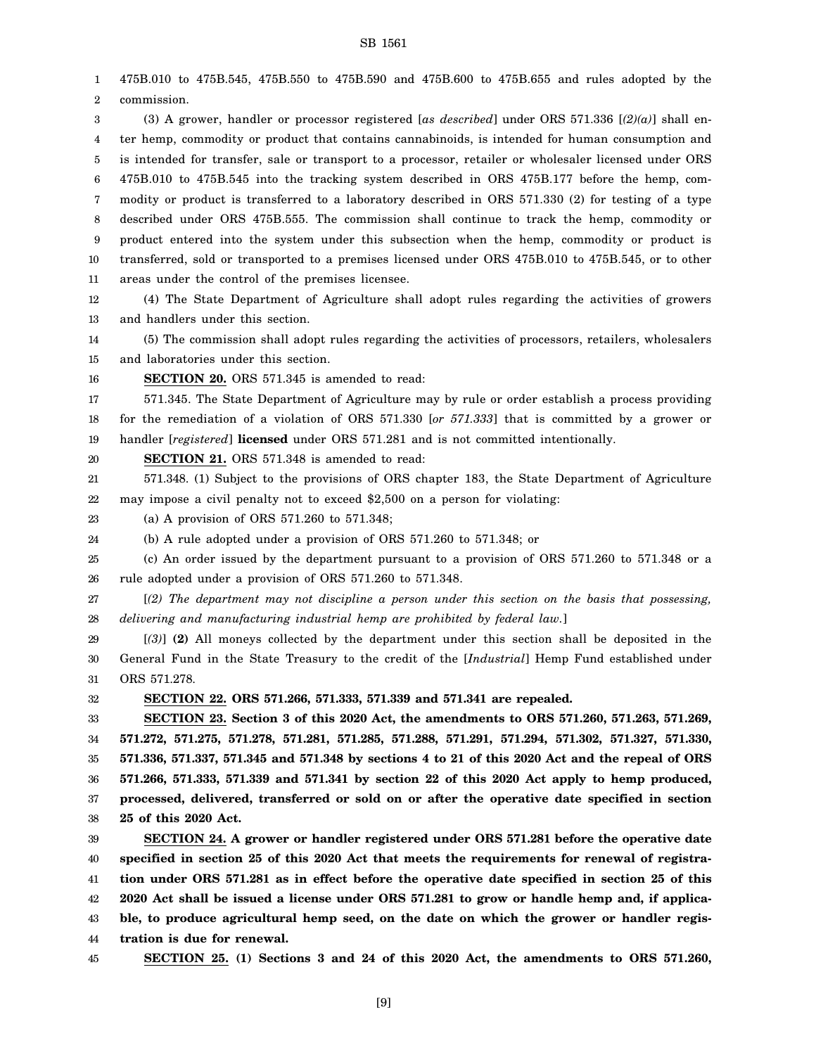1 2 3 4 5 6 7 8 9 10 11 12 13 14 15 16 17 18 19 20 21 22 23 24 25 26 27 28 29 30 31 32 33 34 35 36 37 38 39 40 41 42 43 475B.010 to 475B.545, 475B.550 to 475B.590 and 475B.600 to 475B.655 and rules adopted by the commission. (3) A grower, handler or processor registered [*as described*] under ORS 571.336 [*(2)(a)*] shall enter hemp, commodity or product that contains cannabinoids, is intended for human consumption and is intended for transfer, sale or transport to a processor, retailer or wholesaler licensed under ORS 475B.010 to 475B.545 into the tracking system described in ORS 475B.177 before the hemp, commodity or product is transferred to a laboratory described in ORS 571.330 (2) for testing of a type described under ORS 475B.555. The commission shall continue to track the hemp, commodity or product entered into the system under this subsection when the hemp, commodity or product is transferred, sold or transported to a premises licensed under ORS 475B.010 to 475B.545, or to other areas under the control of the premises licensee. (4) The State Department of Agriculture shall adopt rules regarding the activities of growers and handlers under this section. (5) The commission shall adopt rules regarding the activities of processors, retailers, wholesalers and laboratories under this section. **SECTION 20.** ORS 571.345 is amended to read: 571.345. The State Department of Agriculture may by rule or order establish a process providing for the remediation of a violation of ORS 571.330 [*or 571.333*] that is committed by a grower or handler [*registered*] **licensed** under ORS 571.281 and is not committed intentionally. **SECTION 21.** ORS 571.348 is amended to read: 571.348. (1) Subject to the provisions of ORS chapter 183, the State Department of Agriculture may impose a civil penalty not to exceed \$2,500 on a person for violating: (a) A provision of ORS 571.260 to 571.348; (b) A rule adopted under a provision of ORS 571.260 to 571.348; or (c) An order issued by the department pursuant to a provision of ORS 571.260 to 571.348 or a rule adopted under a provision of ORS 571.260 to 571.348. [*(2) The department may not discipline a person under this section on the basis that possessing, delivering and manufacturing industrial hemp are prohibited by federal law.*] [*(3)*] **(2)** All moneys collected by the department under this section shall be deposited in the General Fund in the State Treasury to the credit of the [*Industrial*] Hemp Fund established under ORS 571.278. **SECTION 22. ORS 571.266, 571.333, 571.339 and 571.341 are repealed. SECTION 23. Section 3 of this 2020 Act, the amendments to ORS 571.260, 571.263, 571.269, 571.272, 571.275, 571.278, 571.281, 571.285, 571.288, 571.291, 571.294, 571.302, 571.327, 571.330, 571.336, 571.337, 571.345 and 571.348 by sections 4 to 21 of this 2020 Act and the repeal of ORS 571.266, 571.333, 571.339 and 571.341 by section 22 of this 2020 Act apply to hemp produced, processed, delivered, transferred or sold on or after the operative date specified in section 25 of this 2020 Act. SECTION 24. A grower or handler registered under ORS 571.281 before the operative date specified in section 25 of this 2020 Act that meets the requirements for renewal of registration under ORS 571.281 as in effect before the operative date specified in section 25 of this 2020 Act shall be issued a license under ORS 571.281 to grow or handle hemp and, if applicable, to produce agricultural hemp seed, on the date on which the grower or handler regis-**

44 **tration is due for renewal.**

45

**SECTION 25. (1) Sections 3 and 24 of this 2020 Act, the amendments to ORS 571.260,**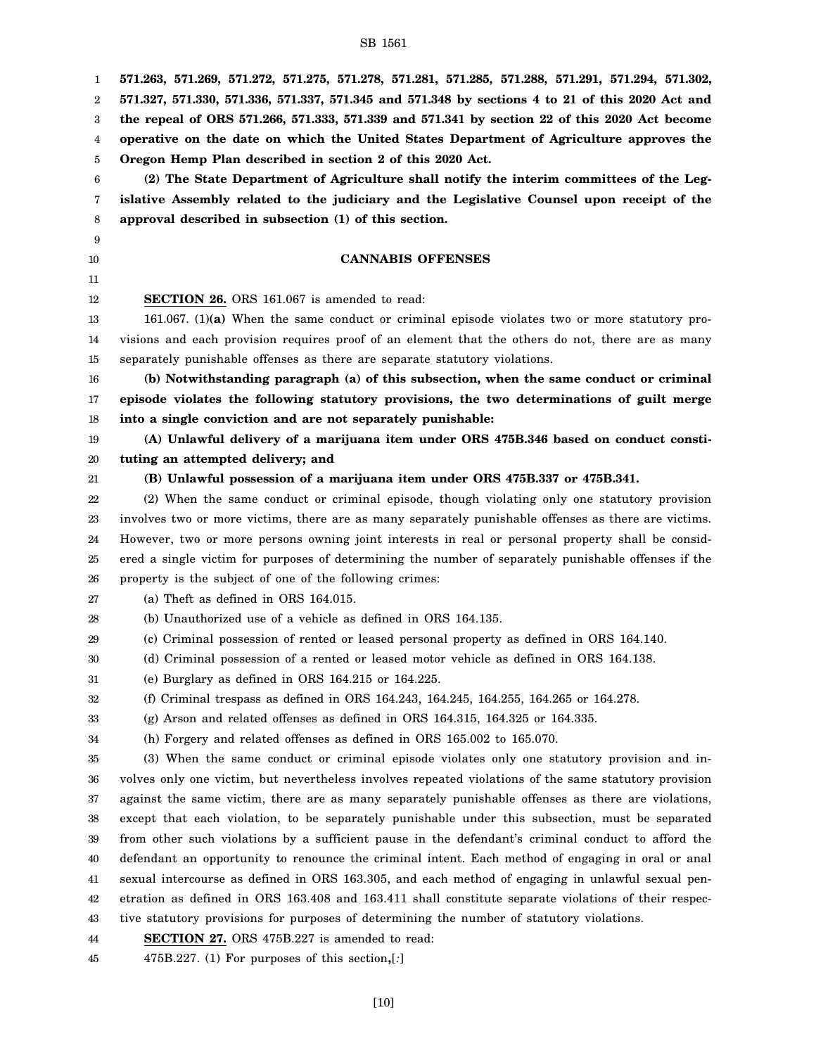| 1  | 571.263, 571.269, 571.272, 571.275, 571.278, 571.281, 571.285, 571.288, 571.291, 571.294, 571.302,    |
|----|-------------------------------------------------------------------------------------------------------|
| 2  | 571.327, 571.330, 571.336, 571.337, 571.345 and 571.348 by sections 4 to 21 of this 2020 Act and      |
| 3  | the repeal of ORS 571.266, 571.333, 571.339 and 571.341 by section 22 of this 2020 Act become         |
| 4  | operative on the date on which the United States Department of Agriculture approves the               |
| 5  | Oregon Hemp Plan described in section 2 of this 2020 Act.                                             |
| 6  | (2) The State Department of Agriculture shall notify the interim committees of the Leg-               |
| 7  | islative Assembly related to the judiciary and the Legislative Counsel upon receipt of the            |
| 8  | approval described in subsection (1) of this section.                                                 |
| 9  |                                                                                                       |
| 10 | <b>CANNABIS OFFENSES</b>                                                                              |
| 11 |                                                                                                       |
| 12 | <b>SECTION 26.</b> ORS 161.067 is amended to read:                                                    |
| 13 | 161.067. (1)(a) When the same conduct or criminal episode violates two or more statutory pro-         |
| 14 | visions and each provision requires proof of an element that the others do not, there are as many     |
| 15 | separately punishable offenses as there are separate statutory violations.                            |
| 16 | (b) Notwithstanding paragraph (a) of this subsection, when the same conduct or criminal               |
| 17 | episode violates the following statutory provisions, the two determinations of guilt merge            |
| 18 | into a single conviction and are not separately punishable:                                           |
| 19 | (A) Unlawful delivery of a marijuana item under ORS 475B.346 based on conduct consti-                 |
| 20 | tuting an attempted delivery; and                                                                     |
| 21 | (B) Unlawful possession of a marijuana item under ORS 475B.337 or 475B.341.                           |
| 22 | (2) When the same conduct or criminal episode, though violating only one statutory provision          |
| 23 | involves two or more victims, there are as many separately punishable offenses as there are victims.  |
| 24 | However, two or more persons owning joint interests in real or personal property shall be consid-     |
| 25 | ered a single victim for purposes of determining the number of separately punishable offenses if the  |
| 26 | property is the subject of one of the following crimes:                                               |
| 27 | (a) Theft as defined in ORS 164.015.                                                                  |
| 28 | (b) Unauthorized use of a vehicle as defined in ORS 164.135.                                          |
| 29 | (c) Criminal possession of rented or leased personal property as defined in ORS 164.140.              |
| 30 | (d) Criminal possession of a rented or leased motor vehicle as defined in ORS 164.138.                |
| 31 | (e) Burglary as defined in ORS 164.215 or 164.225.                                                    |
| 32 | (f) Criminal trespass as defined in ORS 164.243, 164.245, 164.255, 164.265 or 164.278.                |
| 33 | $(g)$ Arson and related offenses as defined in ORS 164.315, 164.325 or 164.335.                       |
| 34 | (h) Forgery and related offenses as defined in ORS 165.002 to 165.070.                                |
| 35 | (3) When the same conduct or criminal episode violates only one statutory provision and in-           |
| 36 | volves only one victim, but nevertheless involves repeated violations of the same statutory provision |
| 37 | against the same victim, there are as many separately punishable offenses as there are violations,    |
| 38 | except that each violation, to be separately punishable under this subsection, must be separated      |
| 39 | from other such violations by a sufficient pause in the defendant's criminal conduct to afford the    |
| 40 | defendant an opportunity to renounce the criminal intent. Each method of engaging in oral or anal     |
| 41 | sexual intercourse as defined in ORS 163.305, and each method of engaging in unlawful sexual pen-     |
| 42 | etration as defined in ORS 163.408 and 163.411 shall constitute separate violations of their respec-  |
| 43 | tive statutory provisions for purposes of determining the number of statutory violations.             |
| 44 | <b>SECTION 27.</b> ORS 475B.227 is amended to read:                                                   |
| 45 | $475B.227.$ (1) For purposes of this section,[:]                                                      |

[10]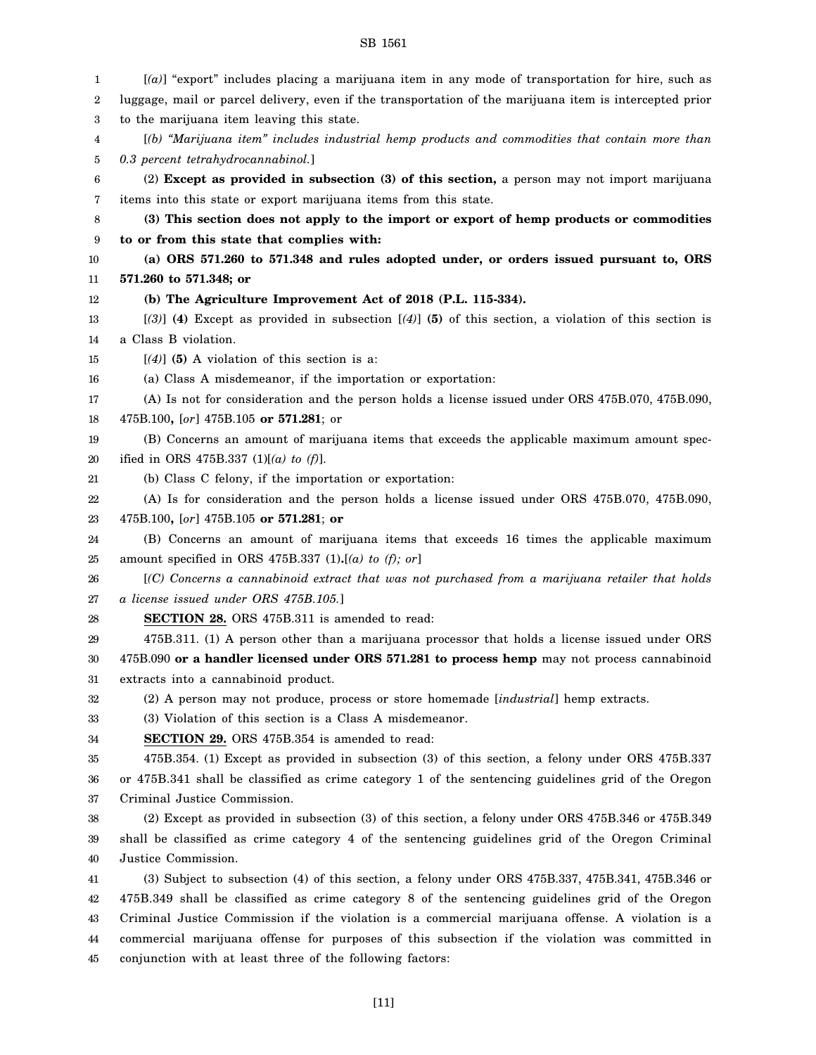| $[(a)]$ "export" includes placing a marijuana item in any mode of transportation for hire, such as                                                     |
|--------------------------------------------------------------------------------------------------------------------------------------------------------|
| luggage, mail or parcel delivery, even if the transportation of the marijuana item is intercepted prior                                                |
| to the marijuana item leaving this state.                                                                                                              |
| [(b) "Marijuana item" includes industrial hemp products and commodities that contain more than                                                         |
| 0.3 percent tetrahydrocannabinol.]                                                                                                                     |
| (2) Except as provided in subsection (3) of this section, a person may not import marijuana                                                            |
| items into this state or export marijuana items from this state.                                                                                       |
| (3) This section does not apply to the import or export of hemp products or commodities                                                                |
| to or from this state that complies with:                                                                                                              |
| (a) ORS 571.260 to 571.348 and rules adopted under, or orders issued pursuant to, ORS                                                                  |
| 571.260 to 571.348; or                                                                                                                                 |
| (b) The Agriculture Improvement Act of 2018 (P.L. 115-334).                                                                                            |
| $[3]$ (4) Except as provided in subsection $[4]$ (5) of this section, a violation of this section is                                                   |
| a Class B violation.                                                                                                                                   |
| $[(4)]$ (5) A violation of this section is a:                                                                                                          |
| (a) Class A misdemeanor, if the importation or exportation:                                                                                            |
| (A) Is not for consideration and the person holds a license issued under ORS 475B.070, 475B.090,                                                       |
| 475B.100, [or] 475B.105 or 571.281; or                                                                                                                 |
| (B) Concerns an amount of marijuana items that exceeds the applicable maximum amount spec-                                                             |
| ified in ORS 475B.337 (1)[(a) to (f)].                                                                                                                 |
| (b) Class C felony, if the importation or exportation:                                                                                                 |
| (A) Is for consideration and the person holds a license issued under ORS 475B.070, 475B.090,                                                           |
| 475B.100, [or] 475B.105 or 571.281; or                                                                                                                 |
| (B) Concerns an amount of marijuana items that exceeds 16 times the applicable maximum                                                                 |
| amount specified in ORS 475B.337 (1).[(a) to (f); or]                                                                                                  |
| [(C) Concerns a cannabinoid extract that was not purchased from a marijuana retailer that holds                                                        |
| a license issued under ORS 475B.105.]                                                                                                                  |
| SECTION 28. ORS 475B.311 is amended to read:                                                                                                           |
| 475B.311. (1) A person other than a marijuana processor that holds a license issued under ORS                                                          |
| 475B.090 or a handler licensed under ORS 571.281 to process hemp may not process cannabinoid                                                           |
| extracts into a cannabinoid product.<br>(2) A person may not produce, process or store homemade [industrial] hemp extracts.                            |
| (3) Violation of this section is a Class A misdemeanor.                                                                                                |
|                                                                                                                                                        |
| <b>SECTION 29.</b> ORS 475B.354 is amended to read:<br>475B.354. (1) Except as provided in subsection (3) of this section, a felony under ORS 475B.337 |
| or 475B.341 shall be classified as crime category 1 of the sentencing guidelines grid of the Oregon                                                    |
| Criminal Justice Commission.                                                                                                                           |
| (2) Except as provided in subsection (3) of this section, a felony under ORS 475B.346 or 475B.349                                                      |
| shall be classified as crime category 4 of the sentencing guidelines grid of the Oregon Criminal                                                       |
| Justice Commission.                                                                                                                                    |
| (3) Subject to subsection (4) of this section, a felony under ORS 475B.337, 475B.341, 475B.346 or                                                      |
| 475B.349 shall be classified as crime category 8 of the sentencing guidelines grid of the Oregon                                                       |
| Criminal Justice Commission if the violation is a commercial marijuana offense. A violation is a                                                       |
|                                                                                                                                                        |
| commercial marijuana offense for purposes of this subsection if the violation was committed in                                                         |
| conjunction with at least three of the following factors:                                                                                              |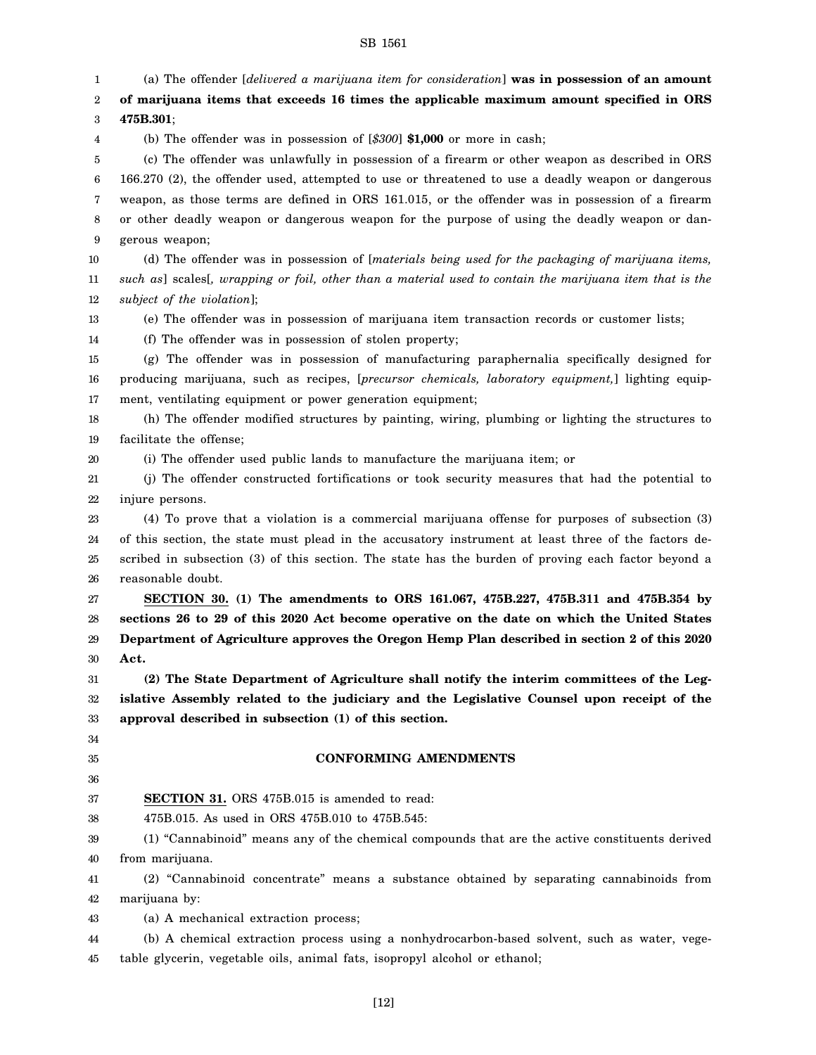1 2 3 4 5 6 7 8 9 10 11 12 13 14 15 16 17 18 19 20 21 22 23 24 25 26 27 28 29 30 31 32 33 34 35 36 37 38 39 40 41 42 43 44 45 (a) The offender [*delivered a marijuana item for consideration*] **was in possession of an amount of marijuana items that exceeds 16 times the applicable maximum amount specified in ORS 475B.301**; (b) The offender was in possession of [*\$300*] **\$1,000** or more in cash; (c) The offender was unlawfully in possession of a firearm or other weapon as described in ORS 166.270 (2), the offender used, attempted to use or threatened to use a deadly weapon or dangerous weapon, as those terms are defined in ORS 161.015, or the offender was in possession of a firearm or other deadly weapon or dangerous weapon for the purpose of using the deadly weapon or dangerous weapon; (d) The offender was in possession of [*materials being used for the packaging of marijuana items, such as*] scales[*, wrapping or foil, other than a material used to contain the marijuana item that is the subject of the violation*]; (e) The offender was in possession of marijuana item transaction records or customer lists; (f) The offender was in possession of stolen property; (g) The offender was in possession of manufacturing paraphernalia specifically designed for producing marijuana, such as recipes, [*precursor chemicals, laboratory equipment,*] lighting equipment, ventilating equipment or power generation equipment; (h) The offender modified structures by painting, wiring, plumbing or lighting the structures to facilitate the offense; (i) The offender used public lands to manufacture the marijuana item; or (j) The offender constructed fortifications or took security measures that had the potential to injure persons. (4) To prove that a violation is a commercial marijuana offense for purposes of subsection (3) of this section, the state must plead in the accusatory instrument at least three of the factors described in subsection (3) of this section. The state has the burden of proving each factor beyond a reasonable doubt. **SECTION 30. (1) The amendments to ORS 161.067, 475B.227, 475B.311 and 475B.354 by sections 26 to 29 of this 2020 Act become operative on the date on which the United States Department of Agriculture approves the Oregon Hemp Plan described in section 2 of this 2020 Act. (2) The State Department of Agriculture shall notify the interim committees of the Legislative Assembly related to the judiciary and the Legislative Counsel upon receipt of the approval described in subsection (1) of this section. CONFORMING AMENDMENTS SECTION 31.** ORS 475B.015 is amended to read: 475B.015. As used in ORS 475B.010 to 475B.545: (1) "Cannabinoid" means any of the chemical compounds that are the active constituents derived from marijuana. (2) "Cannabinoid concentrate" means a substance obtained by separating cannabinoids from marijuana by: (a) A mechanical extraction process; (b) A chemical extraction process using a nonhydrocarbon-based solvent, such as water, vegetable glycerin, vegetable oils, animal fats, isopropyl alcohol or ethanol;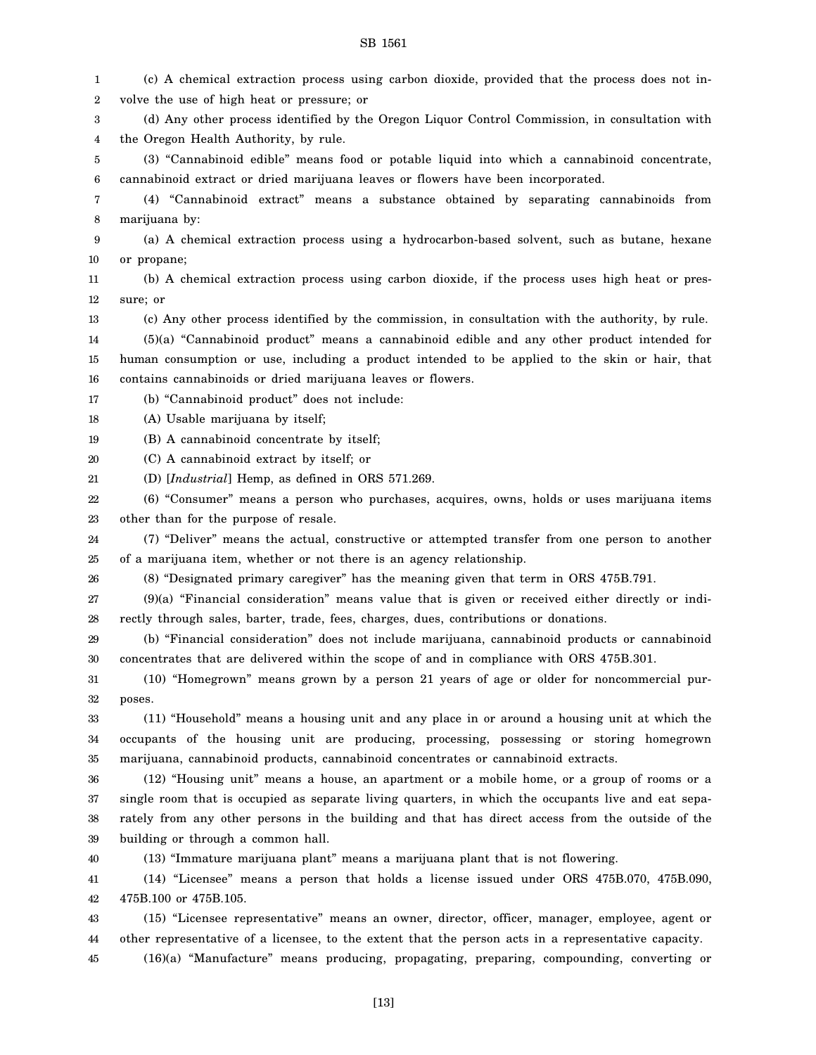| 1      | (c) A chemical extraction process using carbon dioxide, provided that the process does not in-      |
|--------|-----------------------------------------------------------------------------------------------------|
| 2      | volve the use of high heat or pressure; or                                                          |
| 3      | (d) Any other process identified by the Oregon Liquor Control Commission, in consultation with      |
| 4      | the Oregon Health Authority, by rule.                                                               |
| 5      | (3) "Cannabinoid edible" means food or potable liquid into which a cannabinoid concentrate,         |
| 6      | cannabinoid extract or dried marijuana leaves or flowers have been incorporated.                    |
| 7      | (4) "Cannabinoid extract" means a substance obtained by separating cannabinoids from                |
| 8      | marijuana by:                                                                                       |
| 9      | (a) A chemical extraction process using a hydrocarbon-based solvent, such as butane, hexane         |
| 10     | or propane;                                                                                         |
| 11     | (b) A chemical extraction process using carbon dioxide, if the process uses high heat or pres-      |
| 12     | sure; or                                                                                            |
| 13     | (c) Any other process identified by the commission, in consultation with the authority, by rule.    |
| 14     | (5)(a) "Cannabinoid product" means a cannabinoid edible and any other product intended for          |
| 15     | human consumption or use, including a product intended to be applied to the skin or hair, that      |
| 16     | contains cannabinoids or dried marijuana leaves or flowers.                                         |
| 17     | (b) "Cannabinoid product" does not include:                                                         |
| 18     | (A) Usable marijuana by itself;                                                                     |
| 19     | (B) A cannabinoid concentrate by itself;                                                            |
| 20     | (C) A cannabinoid extract by itself; or                                                             |
| 21     | (D) [Industrial] Hemp, as defined in ORS 571.269.                                                   |
| 22     | (6) "Consumer" means a person who purchases, acquires, owns, holds or uses marijuana items          |
| 23     | other than for the purpose of resale.                                                               |
| 24     | (7) "Deliver" means the actual, constructive or attempted transfer from one person to another       |
| 25     | of a marijuana item, whether or not there is an agency relationship.                                |
| 26     | (8) "Designated primary caregiver" has the meaning given that term in ORS 475B.791.                 |
| 27     | (9)(a) "Financial consideration" means value that is given or received either directly or indi-     |
| 28     | rectly through sales, barter, trade, fees, charges, dues, contributions or donations.               |
| 29     | (b) "Financial consideration" does not include marijuana, cannabinoid products or cannabinoid       |
| $30\,$ | concentrates that are delivered within the scope of and in compliance with ORS 475B.301.            |
| 31     | (10) "Homegrown" means grown by a person 21 years of age or older for noncommercial pur-            |
| 32     | poses.                                                                                              |
| 33     | (11) "Household" means a housing unit and any place in or around a housing unit at which the        |
| 34     | occupants of the housing unit are producing, processing, possessing or storing homegrown            |
| 35     | marijuana, cannabinoid products, cannabinoid concentrates or cannabinoid extracts.                  |
| 36     | (12) "Housing unit" means a house, an apartment or a mobile home, or a group of rooms or a          |
| 37     | single room that is occupied as separate living quarters, in which the occupants live and eat sepa- |
| 38     | rately from any other persons in the building and that has direct access from the outside of the    |
| 39     | building or through a common hall.                                                                  |
| 40     | (13) "Immature marijuana plant" means a marijuana plant that is not flowering.                      |
| 41     | (14) "Licensee" means a person that holds a license issued under ORS 475B.070, 475B.090,            |
| 42     | 475B.100 or 475B.105.                                                                               |
| 43     | (15) "Licensee representative" means an owner, director, officer, manager, employee, agent or       |
|        |                                                                                                     |

44 other representative of a licensee, to the extent that the person acts in a representative capacity.

45 (16)(a) "Manufacture" means producing, propagating, preparing, compounding, converting or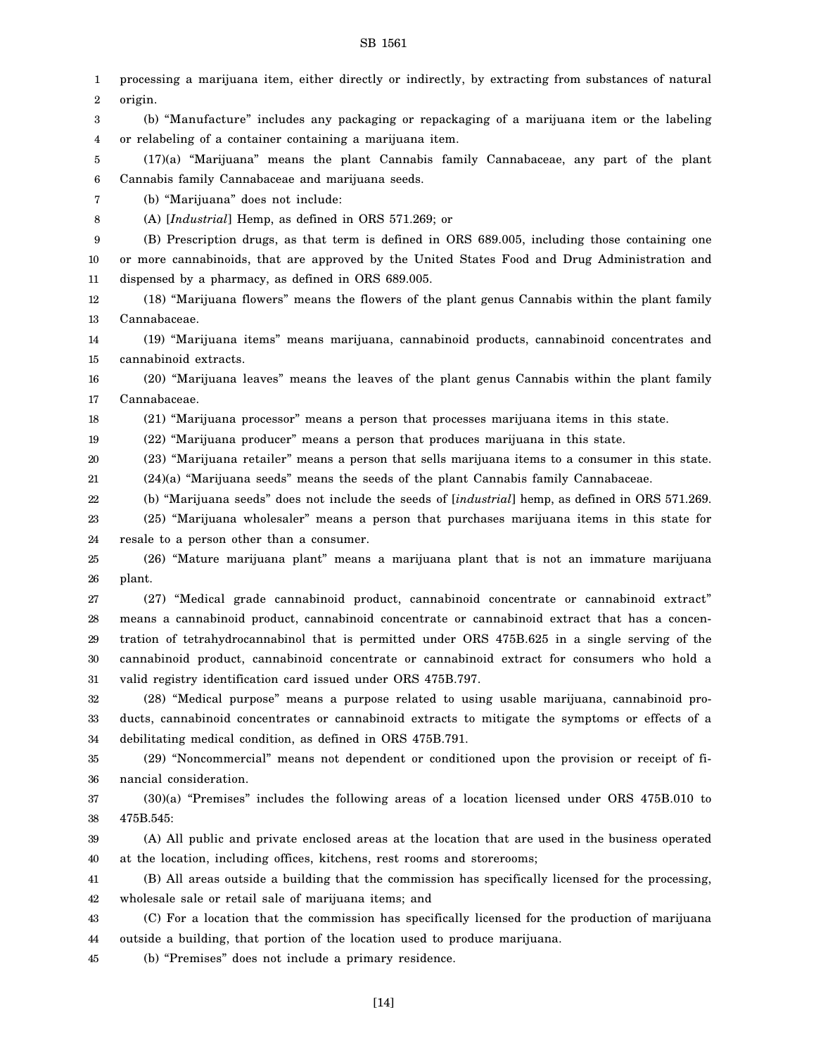1 2 3 4 5 6 7 8 9 10 11 12 13 14 15 16 17 18 19 20 21 22 23 24 25 26 27 28 29 30 31 32 33 34 35 36 37 38 39 40 41 42 43 44 45 processing a marijuana item, either directly or indirectly, by extracting from substances of natural origin. (b) "Manufacture" includes any packaging or repackaging of a marijuana item or the labeling or relabeling of a container containing a marijuana item. (17)(a) "Marijuana" means the plant Cannabis family Cannabaceae, any part of the plant Cannabis family Cannabaceae and marijuana seeds. (b) "Marijuana" does not include: (A) [*Industrial*] Hemp, as defined in ORS 571.269; or (B) Prescription drugs, as that term is defined in ORS 689.005, including those containing one or more cannabinoids, that are approved by the United States Food and Drug Administration and dispensed by a pharmacy, as defined in ORS 689.005. (18) "Marijuana flowers" means the flowers of the plant genus Cannabis within the plant family Cannabaceae. (19) "Marijuana items" means marijuana, cannabinoid products, cannabinoid concentrates and cannabinoid extracts. (20) "Marijuana leaves" means the leaves of the plant genus Cannabis within the plant family Cannabaceae. (21) "Marijuana processor" means a person that processes marijuana items in this state. (22) "Marijuana producer" means a person that produces marijuana in this state. (23) "Marijuana retailer" means a person that sells marijuana items to a consumer in this state. (24)(a) "Marijuana seeds" means the seeds of the plant Cannabis family Cannabaceae. (b) "Marijuana seeds" does not include the seeds of [*industrial*] hemp, as defined in ORS 571.269. (25) "Marijuana wholesaler" means a person that purchases marijuana items in this state for resale to a person other than a consumer. (26) "Mature marijuana plant" means a marijuana plant that is not an immature marijuana plant. (27) "Medical grade cannabinoid product, cannabinoid concentrate or cannabinoid extract" means a cannabinoid product, cannabinoid concentrate or cannabinoid extract that has a concentration of tetrahydrocannabinol that is permitted under ORS 475B.625 in a single serving of the cannabinoid product, cannabinoid concentrate or cannabinoid extract for consumers who hold a valid registry identification card issued under ORS 475B.797. (28) "Medical purpose" means a purpose related to using usable marijuana, cannabinoid products, cannabinoid concentrates or cannabinoid extracts to mitigate the symptoms or effects of a debilitating medical condition, as defined in ORS 475B.791. (29) "Noncommercial" means not dependent or conditioned upon the provision or receipt of financial consideration. (30)(a) "Premises" includes the following areas of a location licensed under ORS 475B.010 to 475B.545: (A) All public and private enclosed areas at the location that are used in the business operated at the location, including offices, kitchens, rest rooms and storerooms; (B) All areas outside a building that the commission has specifically licensed for the processing, wholesale sale or retail sale of marijuana items; and (C) For a location that the commission has specifically licensed for the production of marijuana outside a building, that portion of the location used to produce marijuana. (b) "Premises" does not include a primary residence.

[14]

#### SB 1561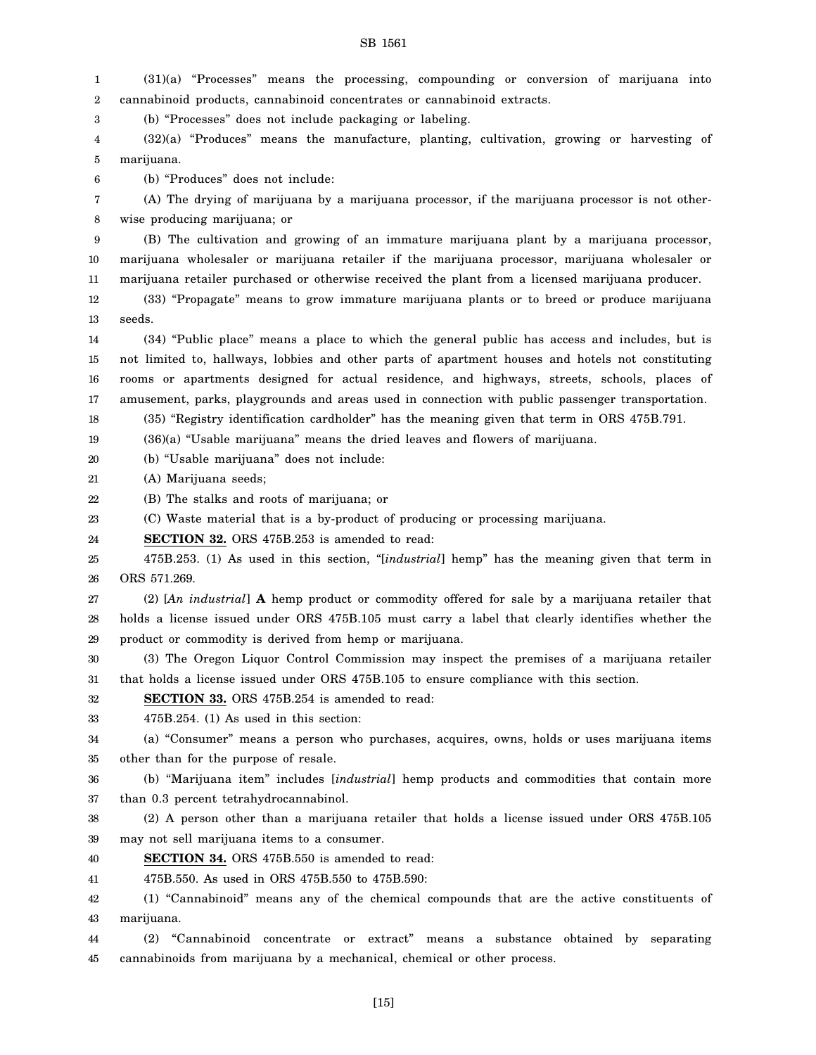1  $\mathcal{D}$ (31)(a) "Processes" means the processing, compounding or conversion of marijuana into cannabinoid products, cannabinoid concentrates or cannabinoid extracts.

SB 1561

3 (b) "Processes" does not include packaging or labeling.

4 5 (32)(a) "Produces" means the manufacture, planting, cultivation, growing or harvesting of marijuana.

6 (b) "Produces" does not include:

7 8 (A) The drying of marijuana by a marijuana processor, if the marijuana processor is not otherwise producing marijuana; or

9 10 11 (B) The cultivation and growing of an immature marijuana plant by a marijuana processor, marijuana wholesaler or marijuana retailer if the marijuana processor, marijuana wholesaler or marijuana retailer purchased or otherwise received the plant from a licensed marijuana producer.

12 13 (33) "Propagate" means to grow immature marijuana plants or to breed or produce marijuana seeds.

14 15 16 17 (34) "Public place" means a place to which the general public has access and includes, but is not limited to, hallways, lobbies and other parts of apartment houses and hotels not constituting rooms or apartments designed for actual residence, and highways, streets, schools, places of amusement, parks, playgrounds and areas used in connection with public passenger transportation.

18 (35) "Registry identification cardholder" has the meaning given that term in ORS 475B.791.

19 (36)(a) "Usable marijuana" means the dried leaves and flowers of marijuana.

20 (b) "Usable marijuana" does not include:

21 (A) Marijuana seeds;

22 (B) The stalks and roots of marijuana; or

23 (C) Waste material that is a by-product of producing or processing marijuana.

24 **SECTION 32.** ORS 475B.253 is amended to read:

25 26 475B.253. (1) As used in this section, "[*industrial*] hemp" has the meaning given that term in ORS 571.269.

27 28 29 (2) [*An industrial*] **A** hemp product or commodity offered for sale by a marijuana retailer that holds a license issued under ORS 475B.105 must carry a label that clearly identifies whether the product or commodity is derived from hemp or marijuana.

30 31 (3) The Oregon Liquor Control Commission may inspect the premises of a marijuana retailer that holds a license issued under ORS 475B.105 to ensure compliance with this section.

32 **SECTION 33.** ORS 475B.254 is amended to read:

33 475B.254. (1) As used in this section:

34 35 (a) "Consumer" means a person who purchases, acquires, owns, holds or uses marijuana items other than for the purpose of resale.

36 37 (b) "Marijuana item" includes [*industrial*] hemp products and commodities that contain more than 0.3 percent tetrahydrocannabinol.

38 39 (2) A person other than a marijuana retailer that holds a license issued under ORS 475B.105 may not sell marijuana items to a consumer.

40 **SECTION 34.** ORS 475B.550 is amended to read:

41 475B.550. As used in ORS 475B.550 to 475B.590:

42 43 (1) "Cannabinoid" means any of the chemical compounds that are the active constituents of marijuana.

44 45 (2) "Cannabinoid concentrate or extract" means a substance obtained by separating cannabinoids from marijuana by a mechanical, chemical or other process.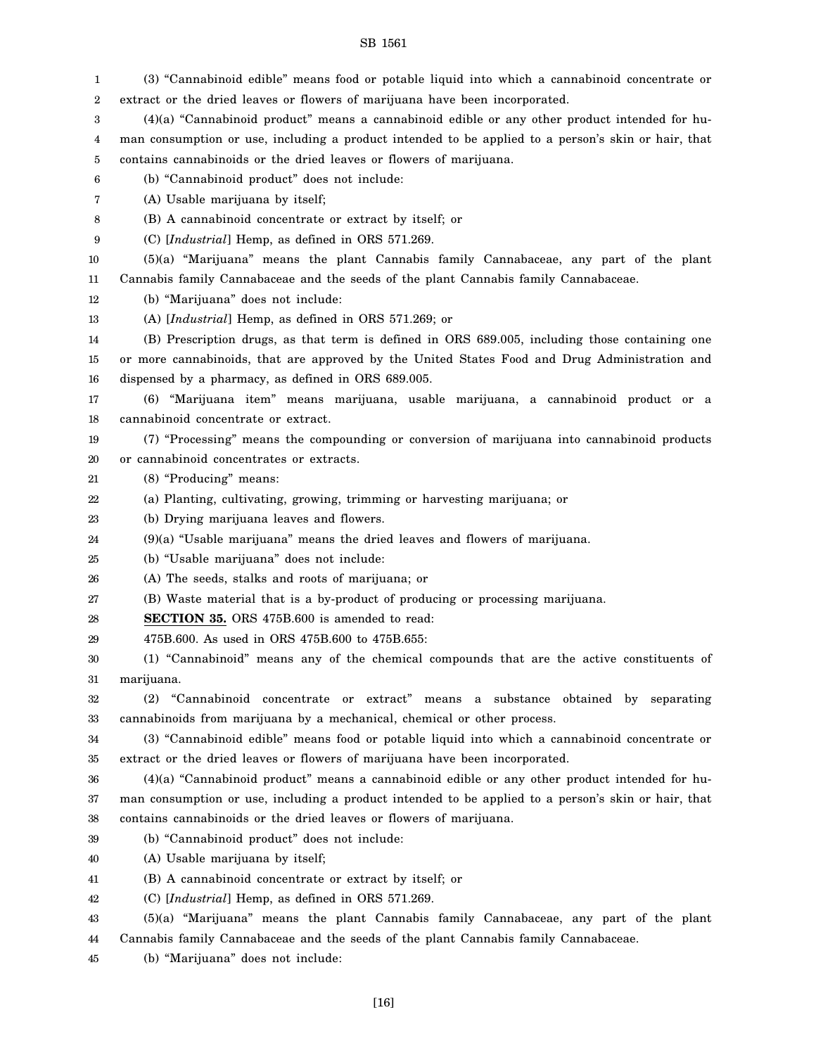extract or the dried leaves or flowers of marijuana have been incorporated.

(3) "Cannabinoid edible" means food or potable liquid into which a cannabinoid concentrate or

1 2

#### 3 4 5 6 7 8 9 10 11 12 13 14 15 16 17 18 19 20 21 22 23 24 25 26 27 28 29 30 31 32 33 34 35 36 37 38 39 40 41 42 43 44 45 (4)(a) "Cannabinoid product" means a cannabinoid edible or any other product intended for human consumption or use, including a product intended to be applied to a person's skin or hair, that contains cannabinoids or the dried leaves or flowers of marijuana. (b) "Cannabinoid product" does not include: (A) Usable marijuana by itself; (B) A cannabinoid concentrate or extract by itself; or (C) [*Industrial*] Hemp, as defined in ORS 571.269. (5)(a) "Marijuana" means the plant Cannabis family Cannabaceae, any part of the plant Cannabis family Cannabaceae and the seeds of the plant Cannabis family Cannabaceae. (b) "Marijuana" does not include: (A) [*Industrial*] Hemp, as defined in ORS 571.269; or (B) Prescription drugs, as that term is defined in ORS 689.005, including those containing one or more cannabinoids, that are approved by the United States Food and Drug Administration and dispensed by a pharmacy, as defined in ORS 689.005. (6) "Marijuana item" means marijuana, usable marijuana, a cannabinoid product or a cannabinoid concentrate or extract. (7) "Processing" means the compounding or conversion of marijuana into cannabinoid products or cannabinoid concentrates or extracts. (8) "Producing" means: (a) Planting, cultivating, growing, trimming or harvesting marijuana; or (b) Drying marijuana leaves and flowers. (9)(a) "Usable marijuana" means the dried leaves and flowers of marijuana. (b) "Usable marijuana" does not include: (A) The seeds, stalks and roots of marijuana; or (B) Waste material that is a by-product of producing or processing marijuana. **SECTION 35.** ORS 475B.600 is amended to read: 475B.600. As used in ORS 475B.600 to 475B.655: (1) "Cannabinoid" means any of the chemical compounds that are the active constituents of marijuana. (2) "Cannabinoid concentrate or extract" means a substance obtained by separating cannabinoids from marijuana by a mechanical, chemical or other process. (3) "Cannabinoid edible" means food or potable liquid into which a cannabinoid concentrate or extract or the dried leaves or flowers of marijuana have been incorporated. (4)(a) "Cannabinoid product" means a cannabinoid edible or any other product intended for human consumption or use, including a product intended to be applied to a person's skin or hair, that contains cannabinoids or the dried leaves or flowers of marijuana. (b) "Cannabinoid product" does not include: (A) Usable marijuana by itself; (B) A cannabinoid concentrate or extract by itself; or (C) [*Industrial*] Hemp, as defined in ORS 571.269. (5)(a) "Marijuana" means the plant Cannabis family Cannabaceae, any part of the plant Cannabis family Cannabaceae and the seeds of the plant Cannabis family Cannabaceae. (b) "Marijuana" does not include: [16]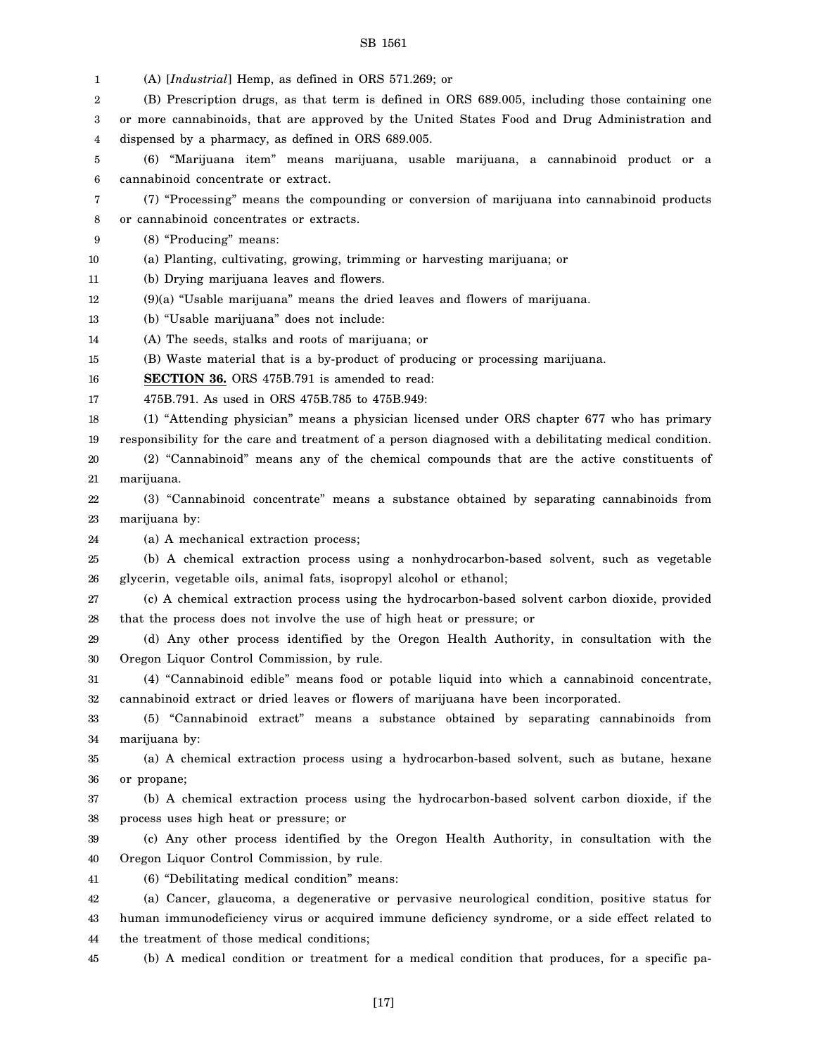| 1        | (A) [Industrial] Hemp, as defined in ORS 571.269; or                                                                                   |
|----------|----------------------------------------------------------------------------------------------------------------------------------------|
| 2        | (B) Prescription drugs, as that term is defined in ORS 689.005, including those containing one                                         |
| 3        | or more cannabinoids, that are approved by the United States Food and Drug Administration and                                          |
| 4        | dispensed by a pharmacy, as defined in ORS 689.005.                                                                                    |
| 5        | (6) "Marijuana item" means marijuana, usable marijuana, a cannabinoid product or a                                                     |
| 6        | cannabinoid concentrate or extract.                                                                                                    |
| 7        | (7) "Processing" means the compounding or conversion of marijuana into cannabinoid products                                            |
| 8        | or cannabinoid concentrates or extracts.                                                                                               |
| 9        | (8) "Producing" means:                                                                                                                 |
| 10       | (a) Planting, cultivating, growing, trimming or harvesting marijuana; or                                                               |
| 11       | (b) Drying marijuana leaves and flowers.                                                                                               |
| 12       | (9)(a) "Usable marijuana" means the dried leaves and flowers of marijuana.                                                             |
| 13       | (b) "Usable marijuana" does not include:                                                                                               |
| 14       | (A) The seeds, stalks and roots of marijuana; or                                                                                       |
| 15       | (B) Waste material that is a by-product of producing or processing marijuana.                                                          |
| 16       | <b>SECTION 36.</b> ORS 475B.791 is amended to read:                                                                                    |
| 17       | 475B.791. As used in ORS 475B.785 to 475B.949:                                                                                         |
| 18       | (1) "Attending physician" means a physician licensed under ORS chapter 677 who has primary                                             |
| 19       | responsibility for the care and treatment of a person diagnosed with a debilitating medical condition.                                 |
| 20       | (2) "Cannabinoid" means any of the chemical compounds that are the active constituents of                                              |
| 21       | marijuana.                                                                                                                             |
| 22       | (3) "Cannabinoid concentrate" means a substance obtained by separating cannabinoids from                                               |
| 23       | marijuana by:                                                                                                                          |
| 24       | (a) A mechanical extraction process;                                                                                                   |
| 25       | (b) A chemical extraction process using a nonhydrocarbon-based solvent, such as vegetable                                              |
| 26       | glycerin, vegetable oils, animal fats, isopropyl alcohol or ethanol;                                                                   |
| 27       | (c) A chemical extraction process using the hydrocarbon-based solvent carbon dioxide, provided                                         |
| 28       | that the process does not involve the use of high heat or pressure; or                                                                 |
| 29       | (d) Any other process identified by the Oregon Health Authority, in consultation with the                                              |
| 30       | Oregon Liquor Control Commission, by rule.                                                                                             |
| 31       | (4) "Cannabinoid edible" means food or potable liquid into which a cannabinoid concentrate,                                            |
| 32       | cannabinoid extract or dried leaves or flowers of marijuana have been incorporated.                                                    |
| 33       | (5) "Cannabinoid extract" means a substance obtained by separating cannabinoids from                                                   |
| 34       | marijuana by:                                                                                                                          |
| 35       | (a) A chemical extraction process using a hydrocarbon-based solvent, such as butane, hexane                                            |
| 36       | or propane;                                                                                                                            |
| 37       | (b) A chemical extraction process using the hydrocarbon-based solvent carbon dioxide, if the<br>process uses high heat or pressure; or |
| 38       | (c) Any other process identified by the Oregon Health Authority, in consultation with the                                              |
| 39<br>40 | Oregon Liquor Control Commission, by rule.                                                                                             |
| 41       | (6) "Debilitating medical condition" means:                                                                                            |
| 42       | (a) Cancer, glaucoma, a degenerative or pervasive neurological condition, positive status for                                          |
| 43       | human immunodeficiency virus or acquired immune deficiency syndrome, or a side effect related to                                       |
| 44       | the treatment of those medical conditions;                                                                                             |
|          |                                                                                                                                        |
| 45       | (b) A medical condition or treatment for a medical condition that produces, for a specific pa-                                         |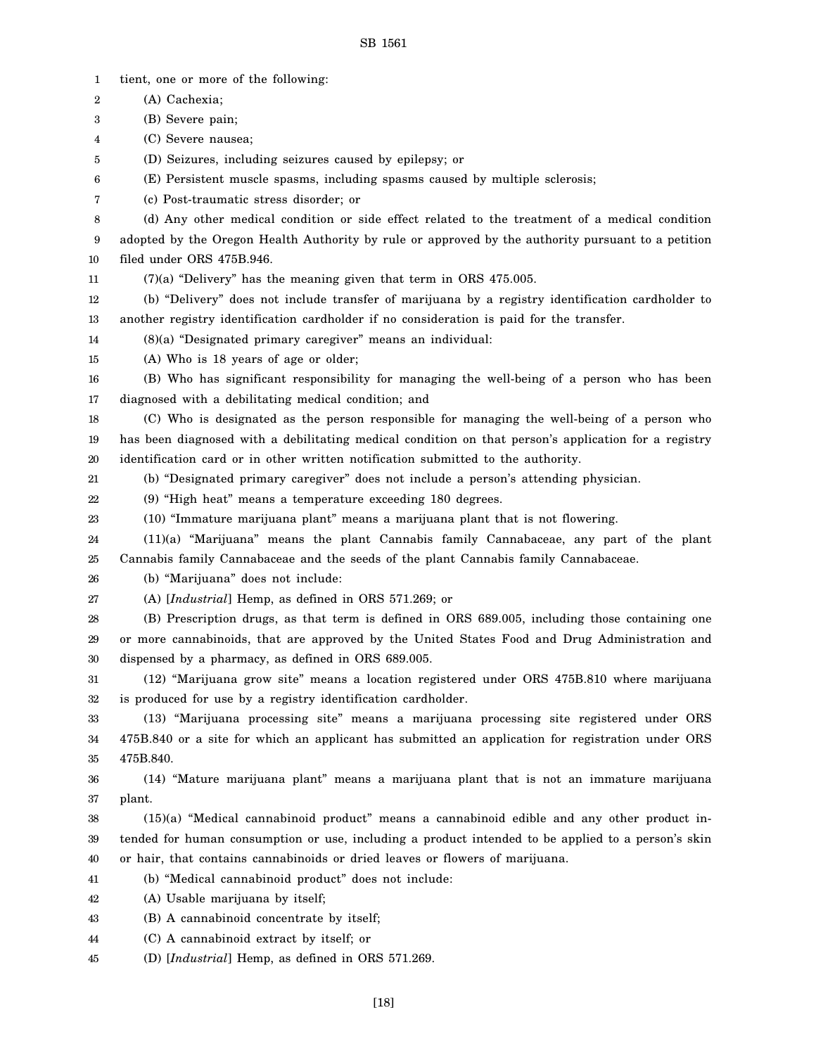1 2 3 4 5 6 7 8 9 10 11 12 13 14 15 16 17 18 19 20 21 22 23 24 25 26 27 28 29 30 31 32 33 34 35 36 37 38 39 40 41 42 43 44 45 tient, one or more of the following: (A) Cachexia; (B) Severe pain; (C) Severe nausea; (D) Seizures, including seizures caused by epilepsy; or (E) Persistent muscle spasms, including spasms caused by multiple sclerosis; (c) Post-traumatic stress disorder; or (d) Any other medical condition or side effect related to the treatment of a medical condition adopted by the Oregon Health Authority by rule or approved by the authority pursuant to a petition filed under ORS 475B.946. (7)(a) "Delivery" has the meaning given that term in ORS 475.005. (b) "Delivery" does not include transfer of marijuana by a registry identification cardholder to another registry identification cardholder if no consideration is paid for the transfer. (8)(a) "Designated primary caregiver" means an individual: (A) Who is 18 years of age or older; (B) Who has significant responsibility for managing the well-being of a person who has been diagnosed with a debilitating medical condition; and (C) Who is designated as the person responsible for managing the well-being of a person who has been diagnosed with a debilitating medical condition on that person's application for a registry identification card or in other written notification submitted to the authority. (b) "Designated primary caregiver" does not include a person's attending physician. (9) "High heat" means a temperature exceeding 180 degrees. (10) "Immature marijuana plant" means a marijuana plant that is not flowering. (11)(a) "Marijuana" means the plant Cannabis family Cannabaceae, any part of the plant Cannabis family Cannabaceae and the seeds of the plant Cannabis family Cannabaceae. (b) "Marijuana" does not include: (A) [*Industrial*] Hemp, as defined in ORS 571.269; or (B) Prescription drugs, as that term is defined in ORS 689.005, including those containing one or more cannabinoids, that are approved by the United States Food and Drug Administration and dispensed by a pharmacy, as defined in ORS 689.005. (12) "Marijuana grow site" means a location registered under ORS 475B.810 where marijuana is produced for use by a registry identification cardholder. (13) "Marijuana processing site" means a marijuana processing site registered under ORS 475B.840 or a site for which an applicant has submitted an application for registration under ORS 475B.840. (14) "Mature marijuana plant" means a marijuana plant that is not an immature marijuana plant. (15)(a) "Medical cannabinoid product" means a cannabinoid edible and any other product intended for human consumption or use, including a product intended to be applied to a person's skin or hair, that contains cannabinoids or dried leaves or flowers of marijuana. (b) "Medical cannabinoid product" does not include: (A) Usable marijuana by itself; (B) A cannabinoid concentrate by itself; (C) A cannabinoid extract by itself; or (D) [*Industrial*] Hemp, as defined in ORS 571.269.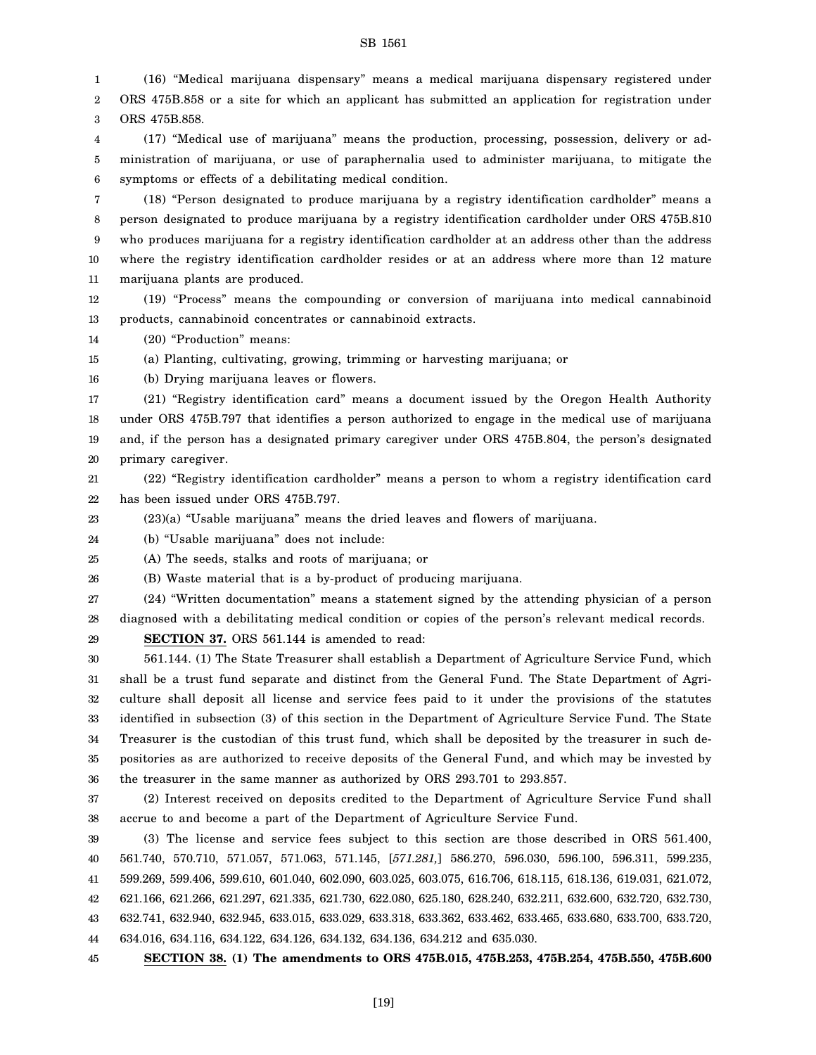1 2 3 (16) "Medical marijuana dispensary" means a medical marijuana dispensary registered under ORS 475B.858 or a site for which an applicant has submitted an application for registration under ORS 475B.858.

4 5 6 (17) "Medical use of marijuana" means the production, processing, possession, delivery or administration of marijuana, or use of paraphernalia used to administer marijuana, to mitigate the symptoms or effects of a debilitating medical condition.

7 8 9 10 11 (18) "Person designated to produce marijuana by a registry identification cardholder" means a person designated to produce marijuana by a registry identification cardholder under ORS 475B.810 who produces marijuana for a registry identification cardholder at an address other than the address where the registry identification cardholder resides or at an address where more than 12 mature marijuana plants are produced.

12 13 (19) "Process" means the compounding or conversion of marijuana into medical cannabinoid products, cannabinoid concentrates or cannabinoid extracts.

14 (20) "Production" means:

15 (a) Planting, cultivating, growing, trimming or harvesting marijuana; or

16 (b) Drying marijuana leaves or flowers.

17 18 19 20 (21) "Registry identification card" means a document issued by the Oregon Health Authority under ORS 475B.797 that identifies a person authorized to engage in the medical use of marijuana and, if the person has a designated primary caregiver under ORS 475B.804, the person's designated primary caregiver.

21 22 (22) "Registry identification cardholder" means a person to whom a registry identification card has been issued under ORS 475B.797.

23 (23)(a) "Usable marijuana" means the dried leaves and flowers of marijuana.

24 (b) "Usable marijuana" does not include:

25 (A) The seeds, stalks and roots of marijuana; or

26 (B) Waste material that is a by-product of producing marijuana.

27 28 (24) "Written documentation" means a statement signed by the attending physician of a person diagnosed with a debilitating medical condition or copies of the person's relevant medical records.

29

**SECTION 37.** ORS 561.144 is amended to read:

30 31 32 33 34 35 36 561.144. (1) The State Treasurer shall establish a Department of Agriculture Service Fund, which shall be a trust fund separate and distinct from the General Fund. The State Department of Agriculture shall deposit all license and service fees paid to it under the provisions of the statutes identified in subsection (3) of this section in the Department of Agriculture Service Fund. The State Treasurer is the custodian of this trust fund, which shall be deposited by the treasurer in such depositories as are authorized to receive deposits of the General Fund, and which may be invested by the treasurer in the same manner as authorized by ORS 293.701 to 293.857.

37 38 (2) Interest received on deposits credited to the Department of Agriculture Service Fund shall accrue to and become a part of the Department of Agriculture Service Fund.

39 40 41 42 43 44 (3) The license and service fees subject to this section are those described in ORS 561.400, 561.740, 570.710, 571.057, 571.063, 571.145, [*571.281,*] 586.270, 596.030, 596.100, 596.311, 599.235, 599.269, 599.406, 599.610, 601.040, 602.090, 603.025, 603.075, 616.706, 618.115, 618.136, 619.031, 621.072, 621.166, 621.266, 621.297, 621.335, 621.730, 622.080, 625.180, 628.240, 632.211, 632.600, 632.720, 632.730, 632.741, 632.940, 632.945, 633.015, 633.029, 633.318, 633.362, 633.462, 633.465, 633.680, 633.700, 633.720, 634.016, 634.116, 634.122, 634.126, 634.132, 634.136, 634.212 and 635.030.

45 **SECTION 38. (1) The amendments to ORS 475B.015, 475B.253, 475B.254, 475B.550, 475B.600**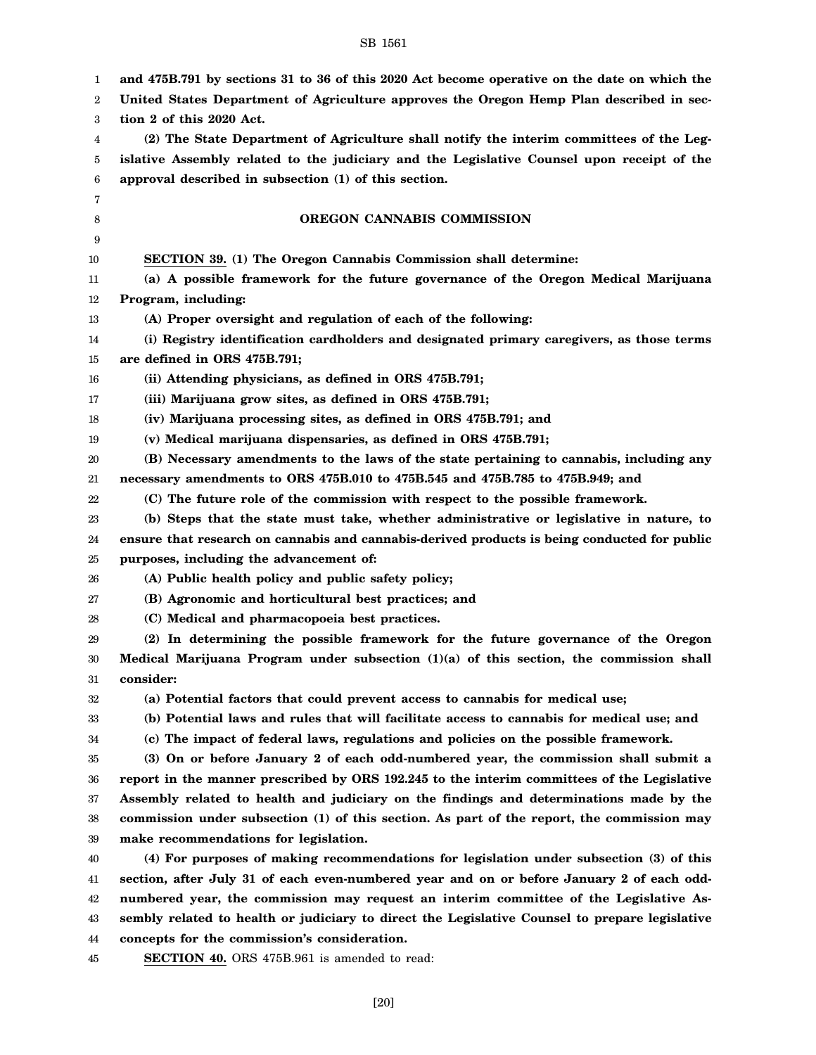| 1<br>2 | and 475B.791 by sections 31 to 36 of this 2020 Act become operative on the date on which the<br>United States Department of Agriculture approves the Oregon Hemp Plan described in sec- |
|--------|-----------------------------------------------------------------------------------------------------------------------------------------------------------------------------------------|
|        |                                                                                                                                                                                         |
| 3      | tion 2 of this 2020 Act.                                                                                                                                                                |
| 4      | (2) The State Department of Agriculture shall notify the interim committees of the Leg-                                                                                                 |
| 5      | islative Assembly related to the judiciary and the Legislative Counsel upon receipt of the                                                                                              |
| 6      | approval described in subsection (1) of this section.                                                                                                                                   |
| 7      |                                                                                                                                                                                         |
| 8      | <b>OREGON CANNABIS COMMISSION</b>                                                                                                                                                       |
| 9      |                                                                                                                                                                                         |
| 10     | SECTION 39. (1) The Oregon Cannabis Commission shall determine:                                                                                                                         |
| 11     | (a) A possible framework for the future governance of the Oregon Medical Marijuana                                                                                                      |
| 12     | Program, including:                                                                                                                                                                     |
| 13     | (A) Proper oversight and regulation of each of the following:                                                                                                                           |
| 14     | (i) Registry identification cardholders and designated primary caregivers, as those terms                                                                                               |
| 15     | are defined in ORS 475B.791;                                                                                                                                                            |
| 16     | (ii) Attending physicians, as defined in ORS 475B.791;                                                                                                                                  |
| 17     | (iii) Marijuana grow sites, as defined in ORS 475B.791;                                                                                                                                 |
| 18     | (iv) Marijuana processing sites, as defined in ORS 475B.791; and                                                                                                                        |
| 19     | (v) Medical marijuana dispensaries, as defined in ORS 475B.791;                                                                                                                         |
| 20     | (B) Necessary amendments to the laws of the state pertaining to cannabis, including any                                                                                                 |
| 21     | necessary amendments to ORS 475B.010 to 475B.545 and 475B.785 to 475B.949; and                                                                                                          |
| 22     | (C) The future role of the commission with respect to the possible framework.                                                                                                           |
| 23     | (b) Steps that the state must take, whether administrative or legislative in nature, to                                                                                                 |
| 24     | ensure that research on cannabis and cannabis-derived products is being conducted for public                                                                                            |
| 25     | purposes, including the advancement of:                                                                                                                                                 |
| 26     | (A) Public health policy and public safety policy;                                                                                                                                      |
| 27     | (B) Agronomic and horticultural best practices; and                                                                                                                                     |
| 28     | (C) Medical and pharmacopoeia best practices.                                                                                                                                           |
| 29     | (2) In determining the possible framework for the future governance of the Oregon                                                                                                       |
| 30     | Medical Marijuana Program under subsection $(1)(a)$ of this section, the commission shall                                                                                               |
| 31     | consider:                                                                                                                                                                               |
| 32     | (a) Potential factors that could prevent access to cannabis for medical use;                                                                                                            |
| 33     | (b) Potential laws and rules that will facilitate access to cannabis for medical use; and                                                                                               |
| 34     | (c) The impact of federal laws, regulations and policies on the possible framework.                                                                                                     |
| 35     | (3) On or before January 2 of each odd-numbered year, the commission shall submit a                                                                                                     |
| 36     | report in the manner prescribed by ORS 192.245 to the interim committees of the Legislative                                                                                             |
| 37     | Assembly related to health and judiciary on the findings and determinations made by the                                                                                                 |
| 38     | commission under subsection (1) of this section. As part of the report, the commission may                                                                                              |
| 39     | make recommendations for legislation.                                                                                                                                                   |
| 40     | (4) For purposes of making recommendations for legislation under subsection (3) of this                                                                                                 |
| 41     | section, after July 31 of each even-numbered year and on or before January 2 of each odd-                                                                                               |
| 42     | numbered year, the commission may request an interim committee of the Legislative As-                                                                                                   |
| 43     | sembly related to health or judiciary to direct the Legislative Counsel to prepare legislative                                                                                          |
| 44     | concepts for the commission's consideration.                                                                                                                                            |
| 45     | <b>SECTION 40.</b> ORS 475B.961 is amended to read:                                                                                                                                     |
|        |                                                                                                                                                                                         |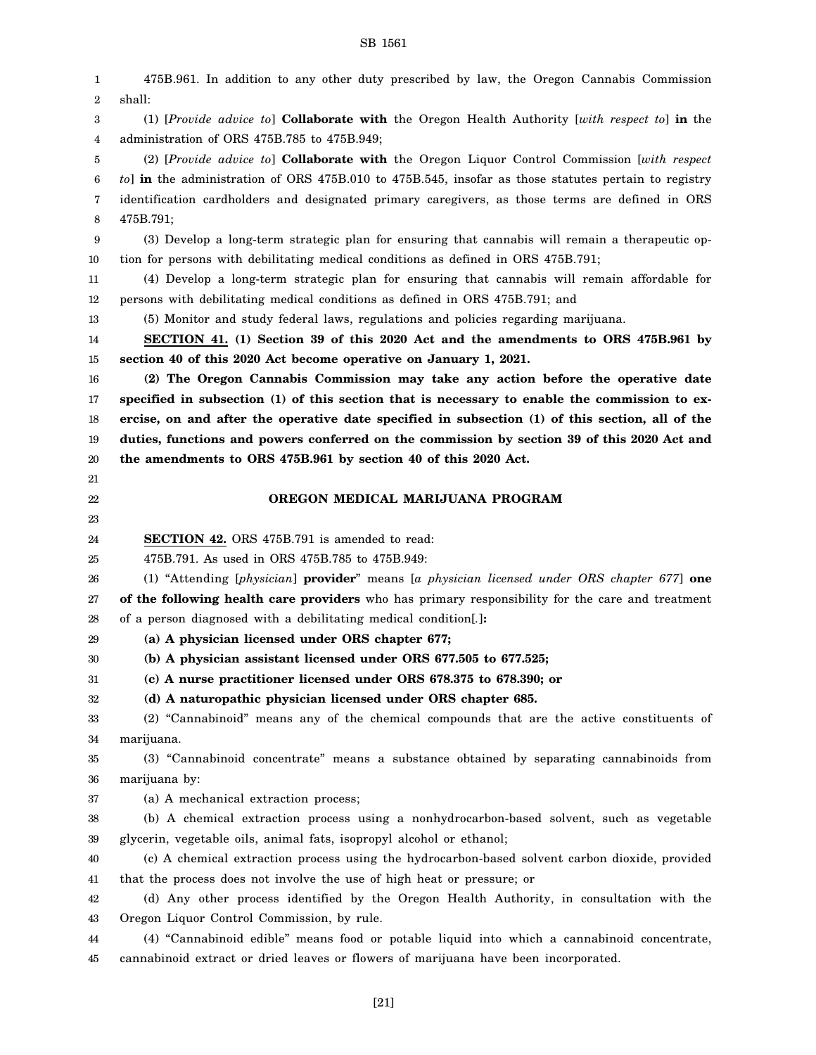1 2 3 4 5 6 7 8 9 10 11 12 13 14 15 16 17 18 19 20 21 22 23 24 25 26 27 28 29 30 31 32 33 34 35 36 37 38 39 40 41 42 43 44 45 475B.961. In addition to any other duty prescribed by law, the Oregon Cannabis Commission shall: (1) [*Provide advice to*] **Collaborate with** the Oregon Health Authority [*with respect to*] **in** the administration of ORS 475B.785 to 475B.949; (2) [*Provide advice to*] **Collaborate with** the Oregon Liquor Control Commission [*with respect to*] **in** the administration of ORS 475B.010 to 475B.545, insofar as those statutes pertain to registry identification cardholders and designated primary caregivers, as those terms are defined in ORS 475B.791; (3) Develop a long-term strategic plan for ensuring that cannabis will remain a therapeutic option for persons with debilitating medical conditions as defined in ORS 475B.791; (4) Develop a long-term strategic plan for ensuring that cannabis will remain affordable for persons with debilitating medical conditions as defined in ORS 475B.791; and (5) Monitor and study federal laws, regulations and policies regarding marijuana. **SECTION 41. (1) Section 39 of this 2020 Act and the amendments to ORS 475B.961 by section 40 of this 2020 Act become operative on January 1, 2021. (2) The Oregon Cannabis Commission may take any action before the operative date specified in subsection (1) of this section that is necessary to enable the commission to exercise, on and after the operative date specified in subsection (1) of this section, all of the duties, functions and powers conferred on the commission by section 39 of this 2020 Act and the amendments to ORS 475B.961 by section 40 of this 2020 Act. OREGON MEDICAL MARIJUANA PROGRAM SECTION 42.** ORS 475B.791 is amended to read: 475B.791. As used in ORS 475B.785 to 475B.949: (1) "Attending [*physician*] **provider**" means [*a physician licensed under ORS chapter 677*] **one of the following health care providers** who has primary responsibility for the care and treatment of a person diagnosed with a debilitating medical condition[*.*]**: (a) A physician licensed under ORS chapter 677; (b) A physician assistant licensed under ORS 677.505 to 677.525; (c) A nurse practitioner licensed under ORS 678.375 to 678.390; or (d) A naturopathic physician licensed under ORS chapter 685.** (2) "Cannabinoid" means any of the chemical compounds that are the active constituents of marijuana. (3) "Cannabinoid concentrate" means a substance obtained by separating cannabinoids from marijuana by: (a) A mechanical extraction process; (b) A chemical extraction process using a nonhydrocarbon-based solvent, such as vegetable glycerin, vegetable oils, animal fats, isopropyl alcohol or ethanol; (c) A chemical extraction process using the hydrocarbon-based solvent carbon dioxide, provided that the process does not involve the use of high heat or pressure; or (d) Any other process identified by the Oregon Health Authority, in consultation with the Oregon Liquor Control Commission, by rule. (4) "Cannabinoid edible" means food or potable liquid into which a cannabinoid concentrate, cannabinoid extract or dried leaves or flowers of marijuana have been incorporated.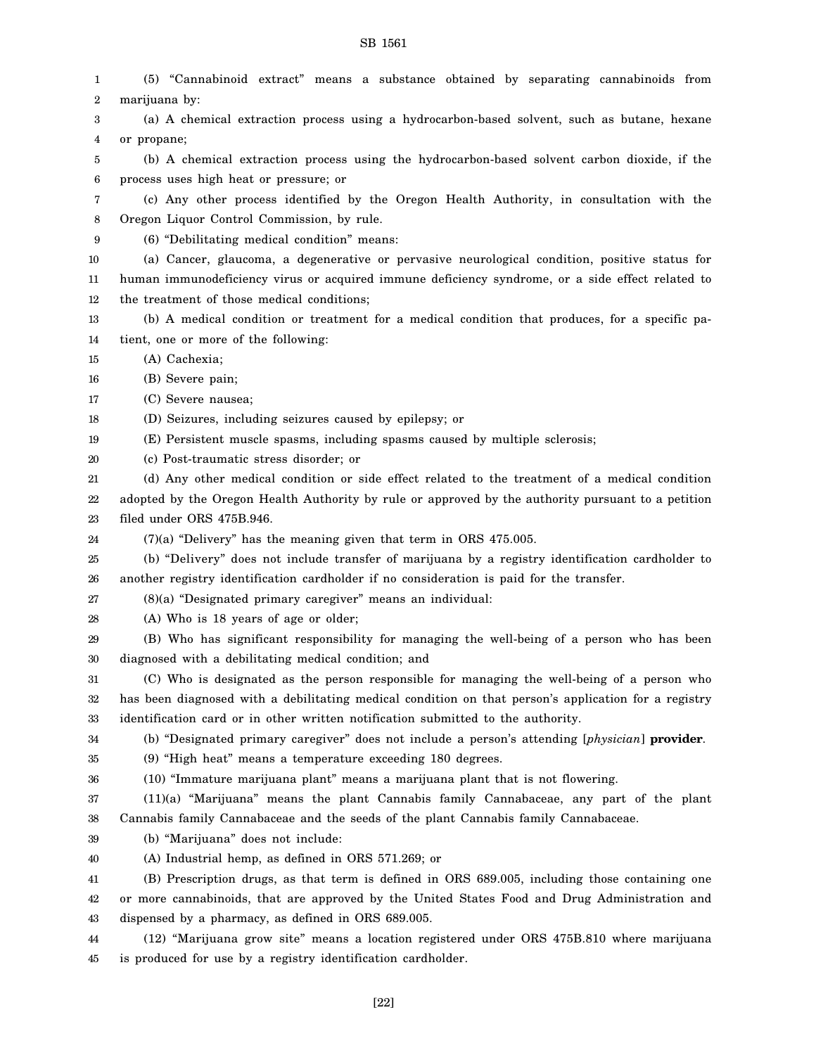#### 1 2 3 4 5 6 7 8 9 10 11 12 13 14 15 16 17 18 19 20 21 22 23 24 25 26 27 28 29 30 31 32 33 34 35 36 37 38 39 40 41 42 43 44 45 (5) "Cannabinoid extract" means a substance obtained by separating cannabinoids from marijuana by: (a) A chemical extraction process using a hydrocarbon-based solvent, such as butane, hexane or propane; (b) A chemical extraction process using the hydrocarbon-based solvent carbon dioxide, if the process uses high heat or pressure; or (c) Any other process identified by the Oregon Health Authority, in consultation with the Oregon Liquor Control Commission, by rule. (6) "Debilitating medical condition" means: (a) Cancer, glaucoma, a degenerative or pervasive neurological condition, positive status for human immunodeficiency virus or acquired immune deficiency syndrome, or a side effect related to the treatment of those medical conditions; (b) A medical condition or treatment for a medical condition that produces, for a specific patient, one or more of the following: (A) Cachexia; (B) Severe pain; (C) Severe nausea; (D) Seizures, including seizures caused by epilepsy; or (E) Persistent muscle spasms, including spasms caused by multiple sclerosis; (c) Post-traumatic stress disorder; or (d) Any other medical condition or side effect related to the treatment of a medical condition adopted by the Oregon Health Authority by rule or approved by the authority pursuant to a petition filed under ORS 475B.946. (7)(a) "Delivery" has the meaning given that term in ORS 475.005. (b) "Delivery" does not include transfer of marijuana by a registry identification cardholder to another registry identification cardholder if no consideration is paid for the transfer. (8)(a) "Designated primary caregiver" means an individual: (A) Who is 18 years of age or older; (B) Who has significant responsibility for managing the well-being of a person who has been diagnosed with a debilitating medical condition; and (C) Who is designated as the person responsible for managing the well-being of a person who has been diagnosed with a debilitating medical condition on that person's application for a registry identification card or in other written notification submitted to the authority. (b) "Designated primary caregiver" does not include a person's attending [*physician*] **provider**. (9) "High heat" means a temperature exceeding 180 degrees. (10) "Immature marijuana plant" means a marijuana plant that is not flowering. (11)(a) "Marijuana" means the plant Cannabis family Cannabaceae, any part of the plant Cannabis family Cannabaceae and the seeds of the plant Cannabis family Cannabaceae. (b) "Marijuana" does not include: (A) Industrial hemp, as defined in ORS 571.269; or (B) Prescription drugs, as that term is defined in ORS 689.005, including those containing one or more cannabinoids, that are approved by the United States Food and Drug Administration and dispensed by a pharmacy, as defined in ORS 689.005. (12) "Marijuana grow site" means a location registered under ORS 475B.810 where marijuana is produced for use by a registry identification cardholder.

#### SB 1561

[22]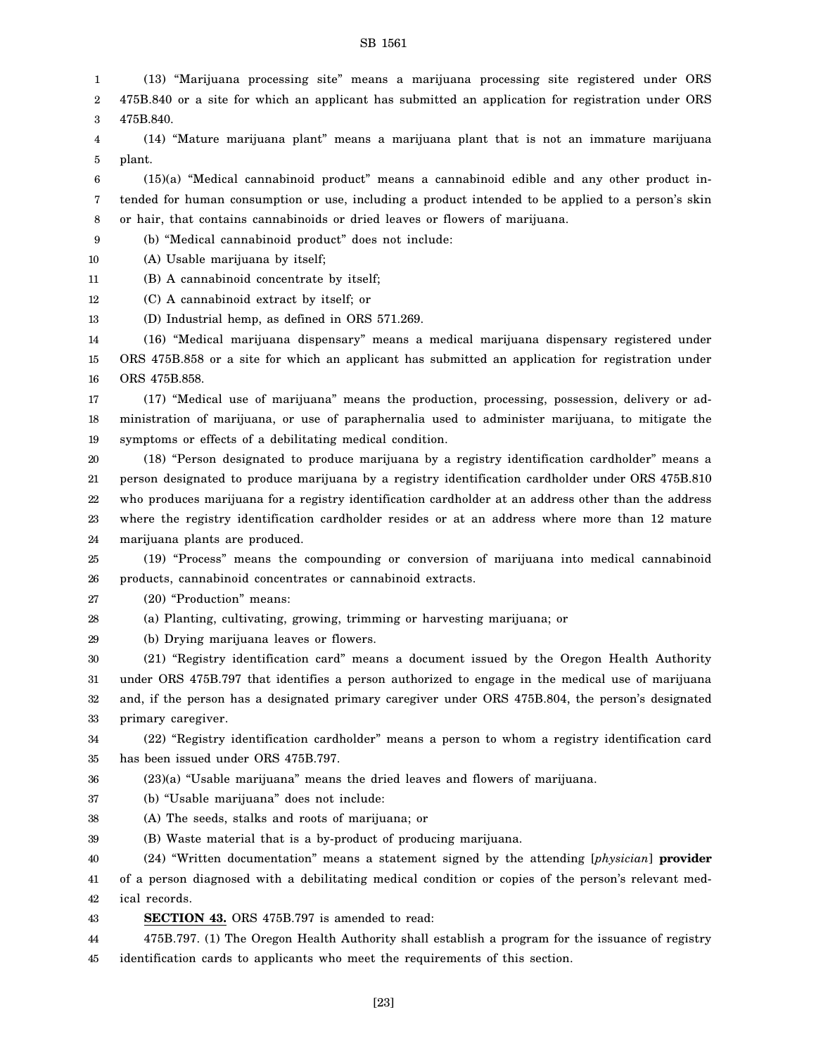- 1  $\mathcal{D}$ (13) "Marijuana processing site" means a marijuana processing site registered under ORS 475B.840 or a site for which an applicant has submitted an application for registration under ORS
- 3 475B.840.
- 4 5 (14) "Mature marijuana plant" means a marijuana plant that is not an immature marijuana plant.

6 7 8 (15)(a) "Medical cannabinoid product" means a cannabinoid edible and any other product intended for human consumption or use, including a product intended to be applied to a person's skin or hair, that contains cannabinoids or dried leaves or flowers of marijuana.

9 (b) "Medical cannabinoid product" does not include:

- 10 (A) Usable marijuana by itself;
- 11 (B) A cannabinoid concentrate by itself;

12 (C) A cannabinoid extract by itself; or

13 (D) Industrial hemp, as defined in ORS 571.269.

14 15 16 (16) "Medical marijuana dispensary" means a medical marijuana dispensary registered under ORS 475B.858 or a site for which an applicant has submitted an application for registration under ORS 475B.858.

17 18 19 (17) "Medical use of marijuana" means the production, processing, possession, delivery or administration of marijuana, or use of paraphernalia used to administer marijuana, to mitigate the symptoms or effects of a debilitating medical condition.

20 21 22 23 24 (18) "Person designated to produce marijuana by a registry identification cardholder" means a person designated to produce marijuana by a registry identification cardholder under ORS 475B.810 who produces marijuana for a registry identification cardholder at an address other than the address where the registry identification cardholder resides or at an address where more than 12 mature marijuana plants are produced.

25 26 (19) "Process" means the compounding or conversion of marijuana into medical cannabinoid products, cannabinoid concentrates or cannabinoid extracts.

27 (20) "Production" means:

28 (a) Planting, cultivating, growing, trimming or harvesting marijuana; or

29 (b) Drying marijuana leaves or flowers.

30 31 32 33 (21) "Registry identification card" means a document issued by the Oregon Health Authority under ORS 475B.797 that identifies a person authorized to engage in the medical use of marijuana and, if the person has a designated primary caregiver under ORS 475B.804, the person's designated primary caregiver.

34 35 (22) "Registry identification cardholder" means a person to whom a registry identification card has been issued under ORS 475B.797.

36 (23)(a) "Usable marijuana" means the dried leaves and flowers of marijuana.

37 (b) "Usable marijuana" does not include:

- 38 (A) The seeds, stalks and roots of marijuana; or
- 39 (B) Waste material that is a by-product of producing marijuana.

40 41 42 (24) "Written documentation" means a statement signed by the attending [*physician*] **provider** of a person diagnosed with a debilitating medical condition or copies of the person's relevant medical records.

43 **SECTION 43.** ORS 475B.797 is amended to read:

44 45 475B.797. (1) The Oregon Health Authority shall establish a program for the issuance of registry identification cards to applicants who meet the requirements of this section.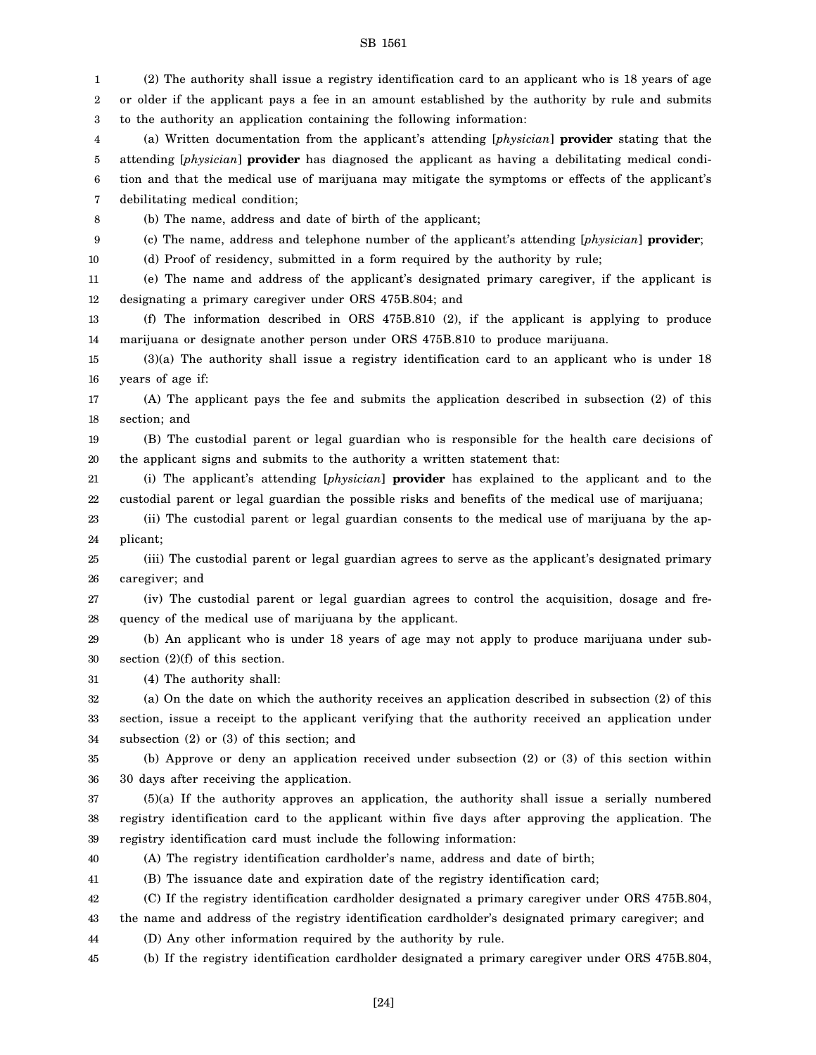1 2 3 4 5 6 7 8 9 10 11 12 13 14 15 16 17 18 19 20 21 22 23 24 25 26 27 28 29 30 31 32 33 34 35 36 37 38 39 40 41 42 43 44 45 (2) The authority shall issue a registry identification card to an applicant who is 18 years of age or older if the applicant pays a fee in an amount established by the authority by rule and submits to the authority an application containing the following information: (a) Written documentation from the applicant's attending [*physician*] **provider** stating that the attending [*physician*] **provider** has diagnosed the applicant as having a debilitating medical condition and that the medical use of marijuana may mitigate the symptoms or effects of the applicant's debilitating medical condition; (b) The name, address and date of birth of the applicant; (c) The name, address and telephone number of the applicant's attending [*physician*] **provider**; (d) Proof of residency, submitted in a form required by the authority by rule; (e) The name and address of the applicant's designated primary caregiver, if the applicant is designating a primary caregiver under ORS 475B.804; and (f) The information described in ORS 475B.810 (2), if the applicant is applying to produce marijuana or designate another person under ORS 475B.810 to produce marijuana. (3)(a) The authority shall issue a registry identification card to an applicant who is under 18 years of age if: (A) The applicant pays the fee and submits the application described in subsection (2) of this section; and (B) The custodial parent or legal guardian who is responsible for the health care decisions of the applicant signs and submits to the authority a written statement that: (i) The applicant's attending [*physician*] **provider** has explained to the applicant and to the custodial parent or legal guardian the possible risks and benefits of the medical use of marijuana; (ii) The custodial parent or legal guardian consents to the medical use of marijuana by the applicant; (iii) The custodial parent or legal guardian agrees to serve as the applicant's designated primary caregiver; and (iv) The custodial parent or legal guardian agrees to control the acquisition, dosage and frequency of the medical use of marijuana by the applicant. (b) An applicant who is under 18 years of age may not apply to produce marijuana under subsection (2)(f) of this section. (4) The authority shall: (a) On the date on which the authority receives an application described in subsection (2) of this section, issue a receipt to the applicant verifying that the authority received an application under subsection (2) or (3) of this section; and (b) Approve or deny an application received under subsection (2) or (3) of this section within 30 days after receiving the application. (5)(a) If the authority approves an application, the authority shall issue a serially numbered registry identification card to the applicant within five days after approving the application. The registry identification card must include the following information: (A) The registry identification cardholder's name, address and date of birth; (B) The issuance date and expiration date of the registry identification card; (C) If the registry identification cardholder designated a primary caregiver under ORS 475B.804, the name and address of the registry identification cardholder's designated primary caregiver; and (D) Any other information required by the authority by rule. (b) If the registry identification cardholder designated a primary caregiver under ORS 475B.804,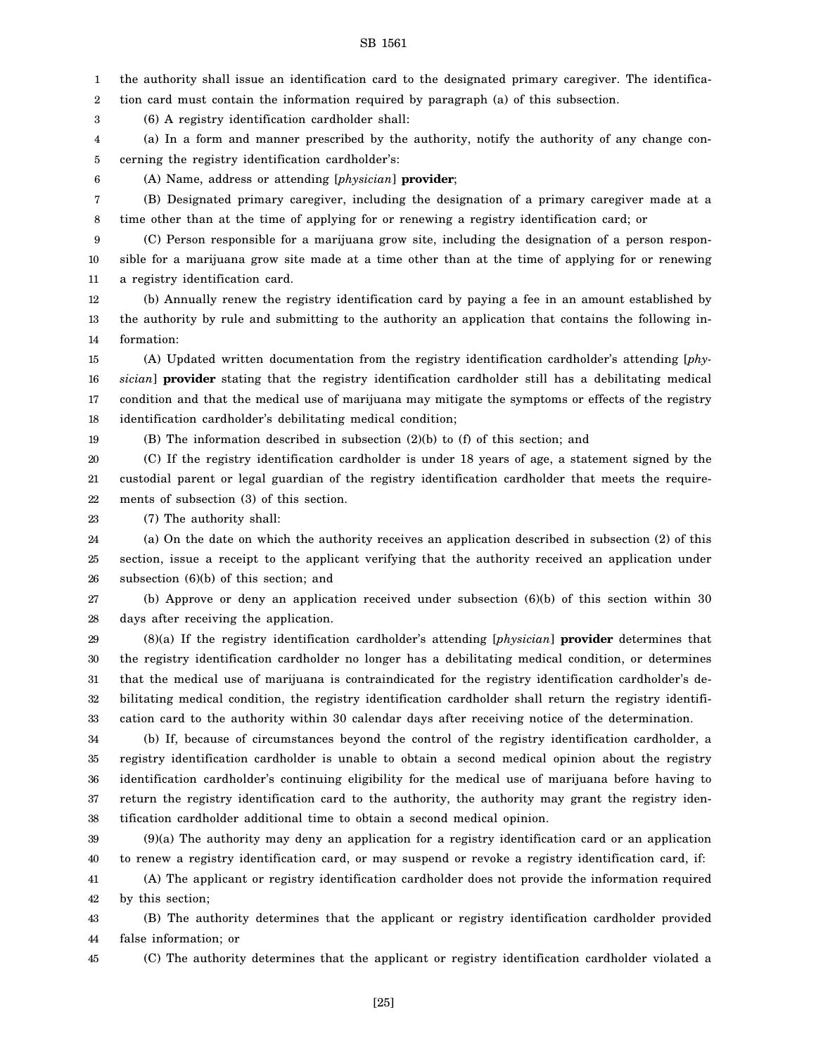1 the authority shall issue an identification card to the designated primary caregiver. The identifica-

2 tion card must contain the information required by paragraph (a) of this subsection.

3 (6) A registry identification cardholder shall:

4 5 (a) In a form and manner prescribed by the authority, notify the authority of any change concerning the registry identification cardholder's:

6

19

(A) Name, address or attending [*physician*] **provider**;

7 8 (B) Designated primary caregiver, including the designation of a primary caregiver made at a time other than at the time of applying for or renewing a registry identification card; or

9 10 11 (C) Person responsible for a marijuana grow site, including the designation of a person responsible for a marijuana grow site made at a time other than at the time of applying for or renewing a registry identification card.

12 13 14 (b) Annually renew the registry identification card by paying a fee in an amount established by the authority by rule and submitting to the authority an application that contains the following information:

15 16 17 18 (A) Updated written documentation from the registry identification cardholder's attending [*physician*] **provider** stating that the registry identification cardholder still has a debilitating medical condition and that the medical use of marijuana may mitigate the symptoms or effects of the registry identification cardholder's debilitating medical condition;

(B) The information described in subsection (2)(b) to (f) of this section; and

20 21 22 (C) If the registry identification cardholder is under 18 years of age, a statement signed by the custodial parent or legal guardian of the registry identification cardholder that meets the requirements of subsection (3) of this section.

23 (7) The authority shall:

24 25 26 (a) On the date on which the authority receives an application described in subsection (2) of this section, issue a receipt to the applicant verifying that the authority received an application under subsection (6)(b) of this section; and

27 28 (b) Approve or deny an application received under subsection (6)(b) of this section within 30 days after receiving the application.

29 30 31 32 33 (8)(a) If the registry identification cardholder's attending [*physician*] **provider** determines that the registry identification cardholder no longer has a debilitating medical condition, or determines that the medical use of marijuana is contraindicated for the registry identification cardholder's debilitating medical condition, the registry identification cardholder shall return the registry identification card to the authority within 30 calendar days after receiving notice of the determination.

34 35 36 37 38 (b) If, because of circumstances beyond the control of the registry identification cardholder, a registry identification cardholder is unable to obtain a second medical opinion about the registry identification cardholder's continuing eligibility for the medical use of marijuana before having to return the registry identification card to the authority, the authority may grant the registry identification cardholder additional time to obtain a second medical opinion.

39 40 (9)(a) The authority may deny an application for a registry identification card or an application to renew a registry identification card, or may suspend or revoke a registry identification card, if:

41 42 (A) The applicant or registry identification cardholder does not provide the information required by this section;

43 44 (B) The authority determines that the applicant or registry identification cardholder provided false information; or

45

(C) The authority determines that the applicant or registry identification cardholder violated a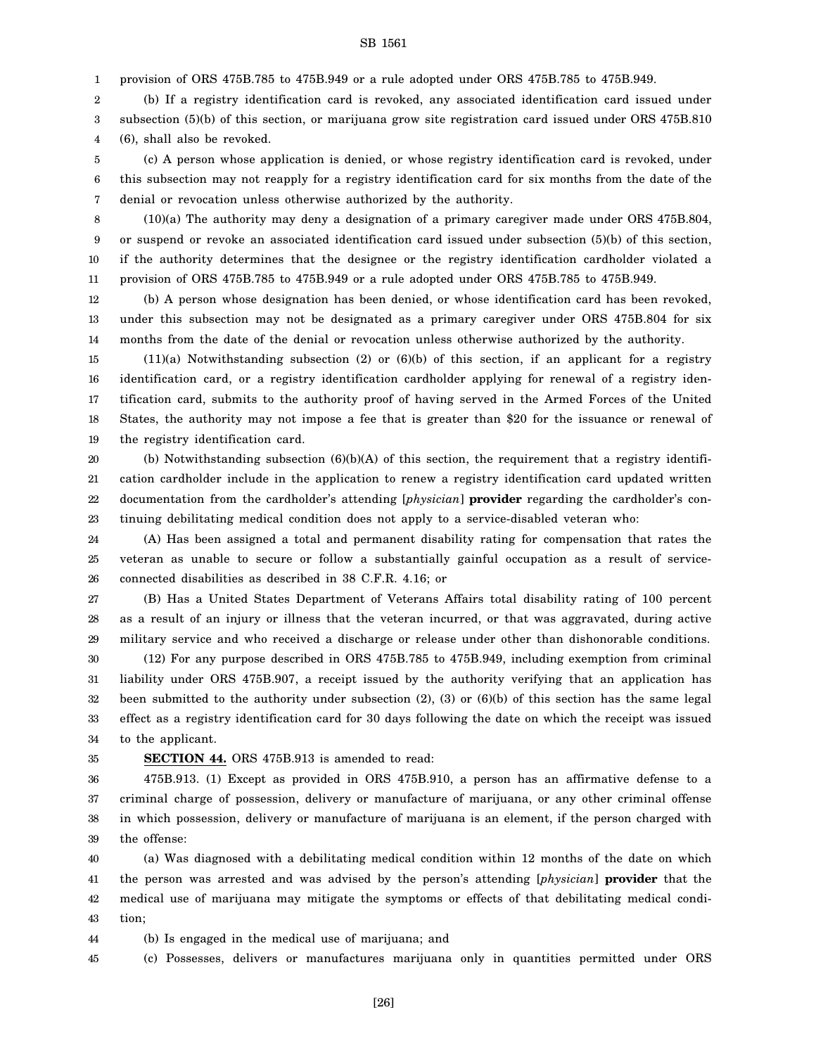1 provision of ORS 475B.785 to 475B.949 or a rule adopted under ORS 475B.785 to 475B.949.

2 3 4 (b) If a registry identification card is revoked, any associated identification card issued under subsection (5)(b) of this section, or marijuana grow site registration card issued under ORS 475B.810 (6), shall also be revoked.

5 6 7 (c) A person whose application is denied, or whose registry identification card is revoked, under this subsection may not reapply for a registry identification card for six months from the date of the denial or revocation unless otherwise authorized by the authority.

8 9 10 11 (10)(a) The authority may deny a designation of a primary caregiver made under ORS 475B.804, or suspend or revoke an associated identification card issued under subsection (5)(b) of this section, if the authority determines that the designee or the registry identification cardholder violated a provision of ORS 475B.785 to 475B.949 or a rule adopted under ORS 475B.785 to 475B.949.

12 13 14 (b) A person whose designation has been denied, or whose identification card has been revoked, under this subsection may not be designated as a primary caregiver under ORS 475B.804 for six months from the date of the denial or revocation unless otherwise authorized by the authority.

15 16 17 18 19 (11)(a) Notwithstanding subsection (2) or (6)(b) of this section, if an applicant for a registry identification card, or a registry identification cardholder applying for renewal of a registry identification card, submits to the authority proof of having served in the Armed Forces of the United States, the authority may not impose a fee that is greater than \$20 for the issuance or renewal of the registry identification card.

20 21 22 23 (b) Notwithstanding subsection  $(6)(b)(A)$  of this section, the requirement that a registry identification cardholder include in the application to renew a registry identification card updated written documentation from the cardholder's attending [*physician*] **provider** regarding the cardholder's continuing debilitating medical condition does not apply to a service-disabled veteran who:

24 25 26 (A) Has been assigned a total and permanent disability rating for compensation that rates the veteran as unable to secure or follow a substantially gainful occupation as a result of serviceconnected disabilities as described in 38 C.F.R. 4.16; or

27 28 29 (B) Has a United States Department of Veterans Affairs total disability rating of 100 percent as a result of an injury or illness that the veteran incurred, or that was aggravated, during active military service and who received a discharge or release under other than dishonorable conditions.

30 31 32 33 34 (12) For any purpose described in ORS 475B.785 to 475B.949, including exemption from criminal liability under ORS 475B.907, a receipt issued by the authority verifying that an application has been submitted to the authority under subsection (2), (3) or (6)(b) of this section has the same legal effect as a registry identification card for 30 days following the date on which the receipt was issued to the applicant.

35

### **SECTION 44.** ORS 475B.913 is amended to read:

36 37 38 39 475B.913. (1) Except as provided in ORS 475B.910, a person has an affirmative defense to a criminal charge of possession, delivery or manufacture of marijuana, or any other criminal offense in which possession, delivery or manufacture of marijuana is an element, if the person charged with the offense:

40 41 42 43 (a) Was diagnosed with a debilitating medical condition within 12 months of the date on which the person was arrested and was advised by the person's attending [*physician*] **provider** that the medical use of marijuana may mitigate the symptoms or effects of that debilitating medical condition;

44 (b) Is engaged in the medical use of marijuana; and

45 (c) Possesses, delivers or manufactures marijuana only in quantities permitted under ORS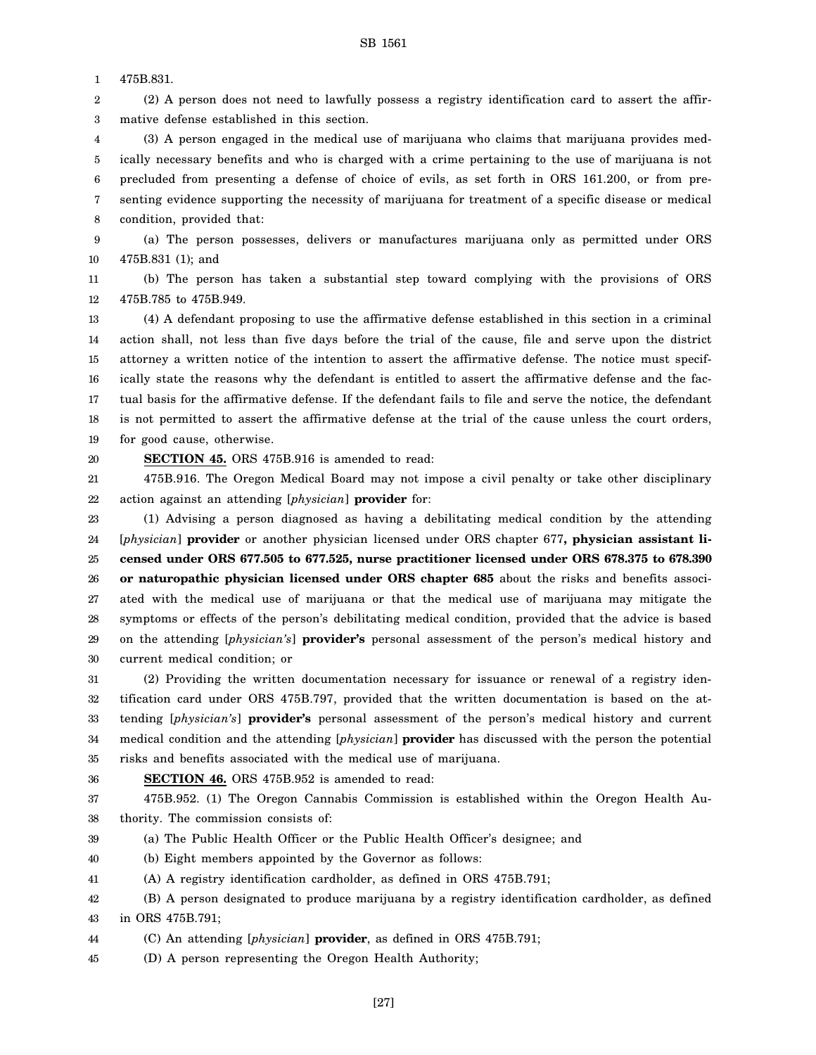1 475B.831.

2 3 (2) A person does not need to lawfully possess a registry identification card to assert the affirmative defense established in this section.

4 5 6 7 8 (3) A person engaged in the medical use of marijuana who claims that marijuana provides medically necessary benefits and who is charged with a crime pertaining to the use of marijuana is not precluded from presenting a defense of choice of evils, as set forth in ORS 161.200, or from presenting evidence supporting the necessity of marijuana for treatment of a specific disease or medical condition, provided that:

9 10 (a) The person possesses, delivers or manufactures marijuana only as permitted under ORS 475B.831 (1); and

11 12 (b) The person has taken a substantial step toward complying with the provisions of ORS 475B.785 to 475B.949.

13 14 15 16 17 18 19 (4) A defendant proposing to use the affirmative defense established in this section in a criminal action shall, not less than five days before the trial of the cause, file and serve upon the district attorney a written notice of the intention to assert the affirmative defense. The notice must specifically state the reasons why the defendant is entitled to assert the affirmative defense and the factual basis for the affirmative defense. If the defendant fails to file and serve the notice, the defendant is not permitted to assert the affirmative defense at the trial of the cause unless the court orders, for good cause, otherwise.

20

**SECTION 45.** ORS 475B.916 is amended to read:

21 22 475B.916. The Oregon Medical Board may not impose a civil penalty or take other disciplinary action against an attending [*physician*] **provider** for:

23 24 25 26 27 28 29 30 (1) Advising a person diagnosed as having a debilitating medical condition by the attending [*physician*] **provider** or another physician licensed under ORS chapter 677**, physician assistant licensed under ORS 677.505 to 677.525, nurse practitioner licensed under ORS 678.375 to 678.390 or naturopathic physician licensed under ORS chapter 685** about the risks and benefits associated with the medical use of marijuana or that the medical use of marijuana may mitigate the symptoms or effects of the person's debilitating medical condition, provided that the advice is based on the attending [*physician's*] **provider's** personal assessment of the person's medical history and current medical condition; or

31 32 33 34 35 (2) Providing the written documentation necessary for issuance or renewal of a registry identification card under ORS 475B.797, provided that the written documentation is based on the attending [*physician's*] **provider's** personal assessment of the person's medical history and current medical condition and the attending [*physician*] **provider** has discussed with the person the potential risks and benefits associated with the medical use of marijuana.

36

**SECTION 46.** ORS 475B.952 is amended to read:

37 38 475B.952. (1) The Oregon Cannabis Commission is established within the Oregon Health Authority. The commission consists of:

39 (a) The Public Health Officer or the Public Health Officer's designee; and

40 (b) Eight members appointed by the Governor as follows:

41 (A) A registry identification cardholder, as defined in ORS 475B.791;

42 43 (B) A person designated to produce marijuana by a registry identification cardholder, as defined in ORS 475B.791;

44 (C) An attending [*physician*] **provider**, as defined in ORS 475B.791;

45 (D) A person representing the Oregon Health Authority;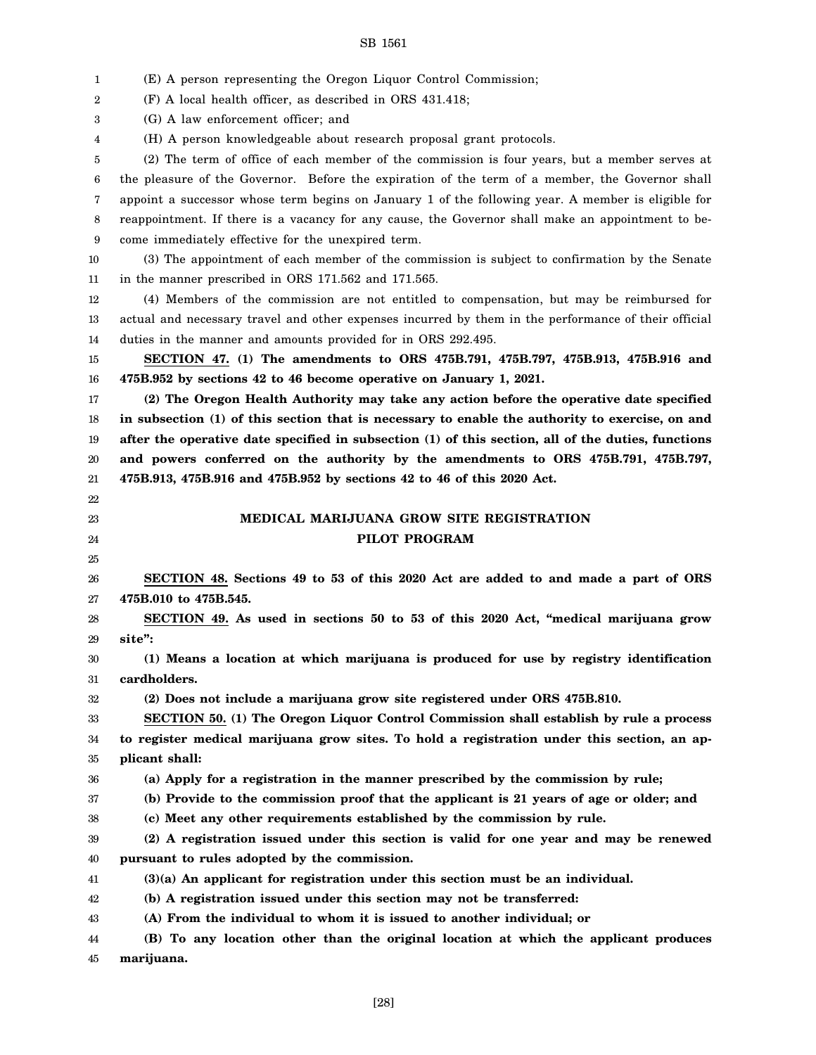| 1        | (E) A person representing the Oregon Liquor Control Commission;                                      |
|----------|------------------------------------------------------------------------------------------------------|
| 2        | (F) A local health officer, as described in ORS 431.418;                                             |
| 3        | (G) A law enforcement officer; and                                                                   |
| 4        | (H) A person knowledgeable about research proposal grant protocols.                                  |
| 5        | (2) The term of office of each member of the commission is four years, but a member serves at        |
| 6        | the pleasure of the Governor. Before the expiration of the term of a member, the Governor shall      |
| 7        | appoint a successor whose term begins on January 1 of the following year. A member is eligible for   |
| 8        | reappointment. If there is a vacancy for any cause, the Governor shall make an appointment to be-    |
| 9        | come immediately effective for the unexpired term.                                                   |
| 10       | (3) The appointment of each member of the commission is subject to confirmation by the Senate        |
| 11       | in the manner prescribed in ORS 171.562 and 171.565.                                                 |
| 12       | (4) Members of the commission are not entitled to compensation, but may be reimbursed for            |
| 13       | actual and necessary travel and other expenses incurred by them in the performance of their official |
| 14       | duties in the manner and amounts provided for in ORS 292.495.                                        |
| 15       | SECTION 47. (1) The amendments to ORS 475B.791, 475B.797, 475B.913, 475B.916 and                     |
| 16       | 475B.952 by sections 42 to 46 become operative on January 1, 2021.                                   |
| 17       | (2) The Oregon Health Authority may take any action before the operative date specified              |
| 18       | in subsection (1) of this section that is necessary to enable the authority to exercise, on and      |
| 19       | after the operative date specified in subsection (1) of this section, all of the duties, functions   |
| 20       | and powers conferred on the authority by the amendments to ORS 475B.791, 475B.797,                   |
| 21       | 475B.913, 475B.916 and 475B.952 by sections 42 to 46 of this 2020 Act.                               |
| 22       |                                                                                                      |
|          |                                                                                                      |
| 23       | MEDICAL MARIJUANA GROW SITE REGISTRATION                                                             |
| 24       | PILOT PROGRAM                                                                                        |
| 25       |                                                                                                      |
| 26       | SECTION 48. Sections 49 to 53 of this 2020 Act are added to and made a part of ORS                   |
| 27       | 475B.010 to 475B.545.                                                                                |
| 28       | SECTION 49. As used in sections 50 to 53 of this 2020 Act, "medical marijuana grow                   |
| 29       | site":                                                                                               |
| 30       | (1) Means a location at which marijuana is produced for use by registry identification               |
| 31       | cardholders.                                                                                         |
| 32       | (2) Does not include a marijuana grow site registered under ORS 475B.810.                            |
| 33       | SECTION 50. (1) The Oregon Liquor Control Commission shall establish by rule a process               |
| 34       | to register medical marijuana grow sites. To hold a registration under this section, an ap-          |
| 35       | plicant shall:                                                                                       |
| 36       | (a) Apply for a registration in the manner prescribed by the commission by rule;                     |
| 37       | (b) Provide to the commission proof that the applicant is 21 years of age or older; and              |
| 38       | (c) Meet any other requirements established by the commission by rule.                               |
| 39       | (2) A registration issued under this section is valid for one year and may be renewed                |
| 40       | pursuant to rules adopted by the commission.                                                         |
| 41       | $(3)(a)$ An applicant for registration under this section must be an individual.                     |
| 42       | (b) A registration issued under this section may not be transferred:                                 |
| 43       | (A) From the individual to whom it is issued to another individual; or                               |
| 44<br>45 | (B) To any location other than the original location at which the applicant produces<br>marijuana.   |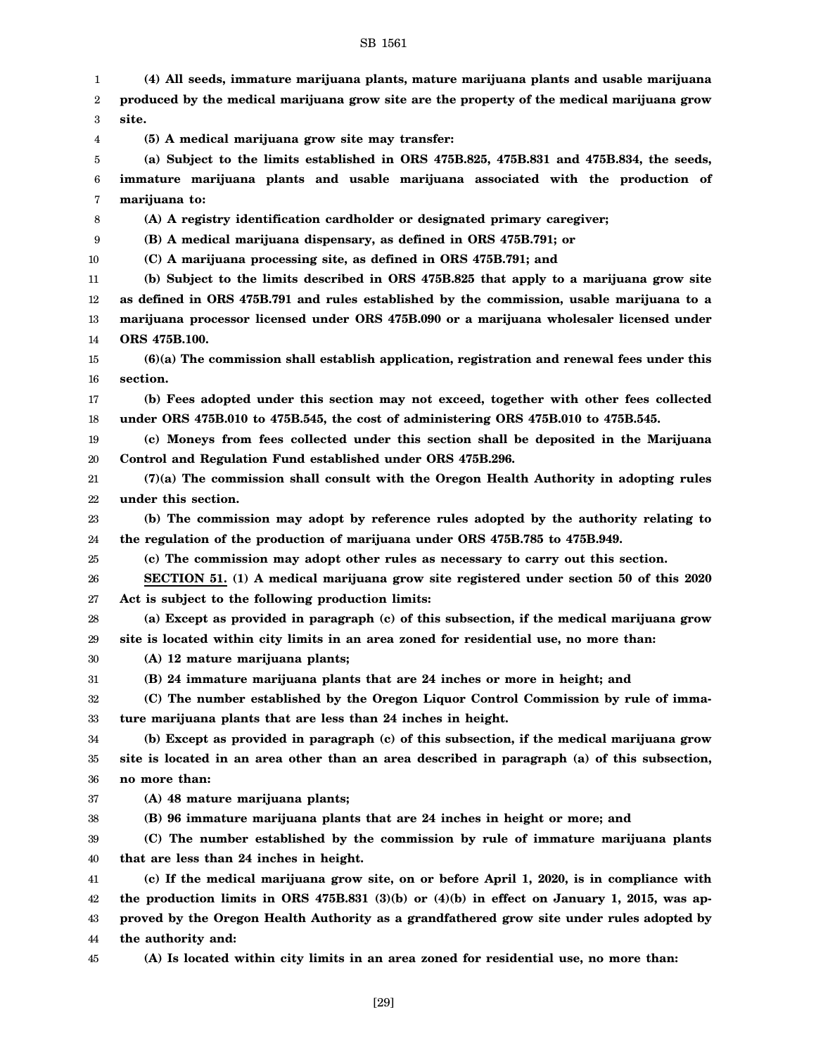1 2 3 4 5 6 7 8 9 10 11 12 13 14 15 16 17 18 19 20 21 22 23 24 25 26 27 28 29 30 31 32 33 34 35 36 37 38 39 40 41 42 43 44 **(4) All seeds, immature marijuana plants, mature marijuana plants and usable marijuana produced by the medical marijuana grow site are the property of the medical marijuana grow site. (5) A medical marijuana grow site may transfer: (a) Subject to the limits established in ORS 475B.825, 475B.831 and 475B.834, the seeds, immature marijuana plants and usable marijuana associated with the production of marijuana to: (A) A registry identification cardholder or designated primary caregiver; (B) A medical marijuana dispensary, as defined in ORS 475B.791; or (C) A marijuana processing site, as defined in ORS 475B.791; and (b) Subject to the limits described in ORS 475B.825 that apply to a marijuana grow site as defined in ORS 475B.791 and rules established by the commission, usable marijuana to a marijuana processor licensed under ORS 475B.090 or a marijuana wholesaler licensed under ORS 475B.100. (6)(a) The commission shall establish application, registration and renewal fees under this section. (b) Fees adopted under this section may not exceed, together with other fees collected under ORS 475B.010 to 475B.545, the cost of administering ORS 475B.010 to 475B.545. (c) Moneys from fees collected under this section shall be deposited in the Marijuana Control and Regulation Fund established under ORS 475B.296. (7)(a) The commission shall consult with the Oregon Health Authority in adopting rules under this section. (b) The commission may adopt by reference rules adopted by the authority relating to the regulation of the production of marijuana under ORS 475B.785 to 475B.949. (c) The commission may adopt other rules as necessary to carry out this section. SECTION 51. (1) A medical marijuana grow site registered under section 50 of this 2020 Act is subject to the following production limits: (a) Except as provided in paragraph (c) of this subsection, if the medical marijuana grow site is located within city limits in an area zoned for residential use, no more than: (A) 12 mature marijuana plants; (B) 24 immature marijuana plants that are 24 inches or more in height; and (C) The number established by the Oregon Liquor Control Commission by rule of immature marijuana plants that are less than 24 inches in height. (b) Except as provided in paragraph (c) of this subsection, if the medical marijuana grow site is located in an area other than an area described in paragraph (a) of this subsection, no more than: (A) 48 mature marijuana plants; (B) 96 immature marijuana plants that are 24 inches in height or more; and (C) The number established by the commission by rule of immature marijuana plants that are less than 24 inches in height. (c) If the medical marijuana grow site, on or before April 1, 2020, is in compliance with the production limits in ORS 475B.831 (3)(b) or (4)(b) in effect on January 1, 2015, was approved by the Oregon Health Authority as a grandfathered grow site under rules adopted by the authority and:**

45

**(A) Is located within city limits in an area zoned for residential use, no more than:**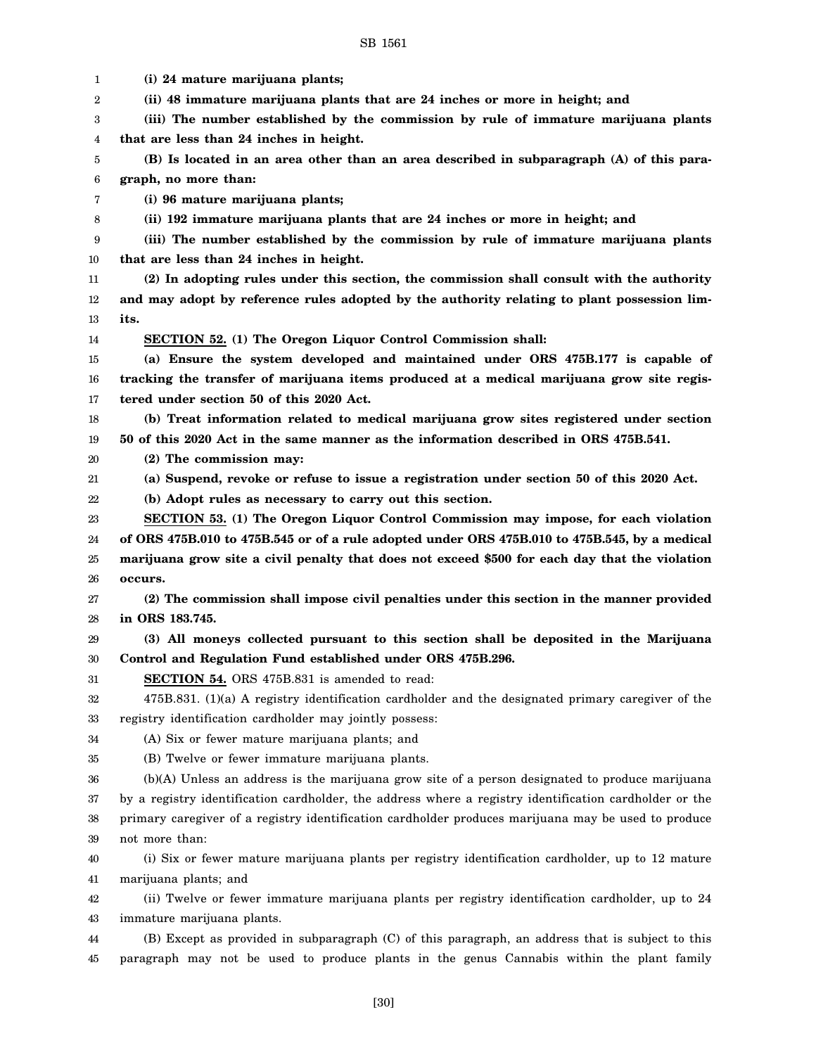| 1      | (i) 24 mature marijuana plants;                                                                        |
|--------|--------------------------------------------------------------------------------------------------------|
| 2      | (ii) 48 immature marijuana plants that are 24 inches or more in height; and                            |
| 3      | (iii) The number established by the commission by rule of immature marijuana plants                    |
| 4      | that are less than 24 inches in height.                                                                |
| 5      | (B) Is located in an area other than an area described in subparagraph (A) of this para-               |
| 6      | graph, no more than:                                                                                   |
| 7      | (i) 96 mature marijuana plants;                                                                        |
| 8      | (ii) 192 immature marijuana plants that are 24 inches or more in height; and                           |
| 9      | (iii) The number established by the commission by rule of immature marijuana plants                    |
| 10     | that are less than 24 inches in height.                                                                |
| 11     | (2) In adopting rules under this section, the commission shall consult with the authority              |
| 12     | and may adopt by reference rules adopted by the authority relating to plant possession lim-            |
| 13     | its.                                                                                                   |
| 14     | SECTION 52. (1) The Oregon Liquor Control Commission shall:                                            |
| 15     | (a) Ensure the system developed and maintained under ORS 475B.177 is capable of                        |
| 16     | tracking the transfer of marijuana items produced at a medical marijuana grow site regis-              |
| 17     | tered under section 50 of this 2020 Act.                                                               |
| 18     | (b) Treat information related to medical marijuana grow sites registered under section                 |
| 19     | 50 of this 2020 Act in the same manner as the information described in ORS 475B.541.                   |
| 20     | (2) The commission may:                                                                                |
| 21     | (a) Suspend, revoke or refuse to issue a registration under section 50 of this 2020 Act.               |
| 22     | (b) Adopt rules as necessary to carry out this section.                                                |
| 23     | SECTION 53. (1) The Oregon Liquor Control Commission may impose, for each violation                    |
| 24     | of ORS 475B.010 to 475B.545 or of a rule adopted under ORS 475B.010 to 475B.545, by a medical          |
| $25\,$ | marijuana grow site a civil penalty that does not exceed \$500 for each day that the violation         |
| 26     | occurs.                                                                                                |
| 27     | (2) The commission shall impose civil penalties under this section in the manner provided              |
| 28     | in ORS 183.745.                                                                                        |
| 29     | (3) All moneys collected pursuant to this section shall be deposited in the Marijuana                  |
| 30     | Control and Regulation Fund established under ORS 475B.296.                                            |
| 31     | SECTION 54. ORS 475B.831 is amended to read:                                                           |
| 32     | 475B.831. (1)(a) A registry identification cardholder and the designated primary caregiver of the      |
| 33     | registry identification cardholder may jointly possess:                                                |
| 34     | (A) Six or fewer mature marijuana plants; and                                                          |
| 35     | (B) Twelve or fewer immature marijuana plants.                                                         |
| 36     | (b)(A) Unless an address is the marijuana grow site of a person designated to produce marijuana        |
| 37     | by a registry identification cardholder, the address where a registry identification cardholder or the |
| 38     | primary caregiver of a registry identification cardholder produces marijuana may be used to produce    |
| 39     | not more than:                                                                                         |
| 40     | (i) Six or fewer mature marijuana plants per registry identification cardholder, up to 12 mature       |
| 41     | marijuana plants; and                                                                                  |
| 42     | (ii) Twelve or fewer immature marijuana plants per registry identification cardholder, up to 24        |
| 43     | immature marijuana plants.                                                                             |
| 44     | (B) Except as provided in subparagraph (C) of this paragraph, an address that is subject to this       |
| 45     | paragraph may not be used to produce plants in the genus Cannabis within the plant family              |
|        |                                                                                                        |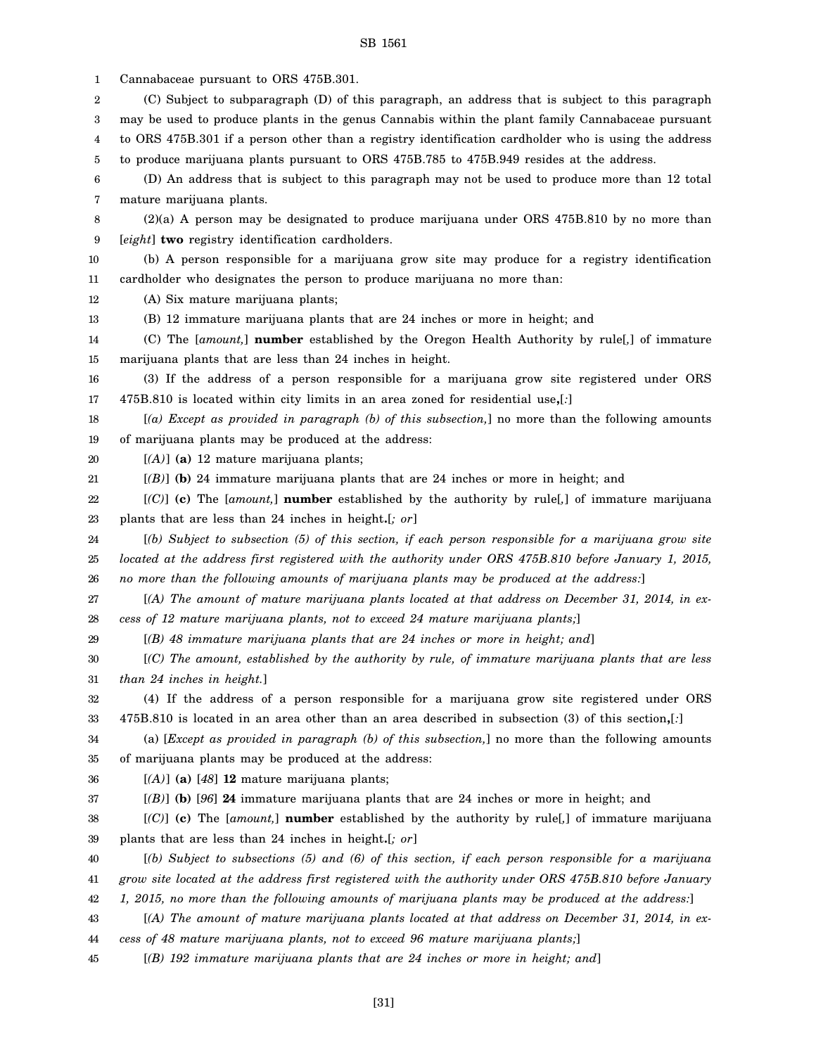3 4 5 6 7 8 9 10 11 12 13 14 15 16 17 18 19 20 21 22 23 24 25 26 27 28 29 30 31 32 33 34 35 36 37 38 39 40 may be used to produce plants in the genus Cannabis within the plant family Cannabaceae pursuant to ORS 475B.301 if a person other than a registry identification cardholder who is using the address to produce marijuana plants pursuant to ORS 475B.785 to 475B.949 resides at the address. (D) An address that is subject to this paragraph may not be used to produce more than 12 total mature marijuana plants. (2)(a) A person may be designated to produce marijuana under ORS 475B.810 by no more than [*eight*] **two** registry identification cardholders. (b) A person responsible for a marijuana grow site may produce for a registry identification cardholder who designates the person to produce marijuana no more than: (A) Six mature marijuana plants; (B) 12 immature marijuana plants that are 24 inches or more in height; and (C) The [*amount,*] **number** established by the Oregon Health Authority by rule[*,*] of immature marijuana plants that are less than 24 inches in height. (3) If the address of a person responsible for a marijuana grow site registered under ORS 475B.810 is located within city limits in an area zoned for residential use**,**[*:*] [*(a) Except as provided in paragraph (b) of this subsection,*] no more than the following amounts of marijuana plants may be produced at the address: [*(A)*] **(a)** 12 mature marijuana plants; [*(B)*] **(b)** 24 immature marijuana plants that are 24 inches or more in height; and [*(C)*] **(c)** The [*amount,*] **number** established by the authority by rule[*,*] of immature marijuana plants that are less than 24 inches in height**.**[*; or*] [*(b) Subject to subsection (5) of this section, if each person responsible for a marijuana grow site located at the address first registered with the authority under ORS 475B.810 before January 1, 2015, no more than the following amounts of marijuana plants may be produced at the address:*] [*(A) The amount of mature marijuana plants located at that address on December 31, 2014, in excess of 12 mature marijuana plants, not to exceed 24 mature marijuana plants;*] [*(B) 48 immature marijuana plants that are 24 inches or more in height; and*] [*(C) The amount, established by the authority by rule, of immature marijuana plants that are less than 24 inches in height.*] (4) If the address of a person responsible for a marijuana grow site registered under ORS 475B.810 is located in an area other than an area described in subsection (3) of this section**,**[*:*] (a) [*Except as provided in paragraph (b) of this subsection,*] no more than the following amounts of marijuana plants may be produced at the address: [*(A)*] **(a)** [*48*] **12** mature marijuana plants; [*(B)*] **(b)** [*96*] **24** immature marijuana plants that are 24 inches or more in height; and [*(C)*] **(c)** The [*amount,*] **number** established by the authority by rule[*,*] of immature marijuana plants that are less than 24 inches in height**.**[*; or*] [*(b) Subject to subsections (5) and (6) of this section, if each person responsible for a marijuana*

SB 1561

(C) Subject to subparagraph (D) of this paragraph, an address that is subject to this paragraph

1 2 Cannabaceae pursuant to ORS 475B.301.

- 41 42 *grow site located at the address first registered with the authority under ORS 475B.810 before January 1, 2015, no more than the following amounts of marijuana plants may be produced at the address:*]
- 43 44 [*(A) The amount of mature marijuana plants located at that address on December 31, 2014, in excess of 48 mature marijuana plants, not to exceed 96 mature marijuana plants;*]
- 45 [*(B) 192 immature marijuana plants that are 24 inches or more in height; and*]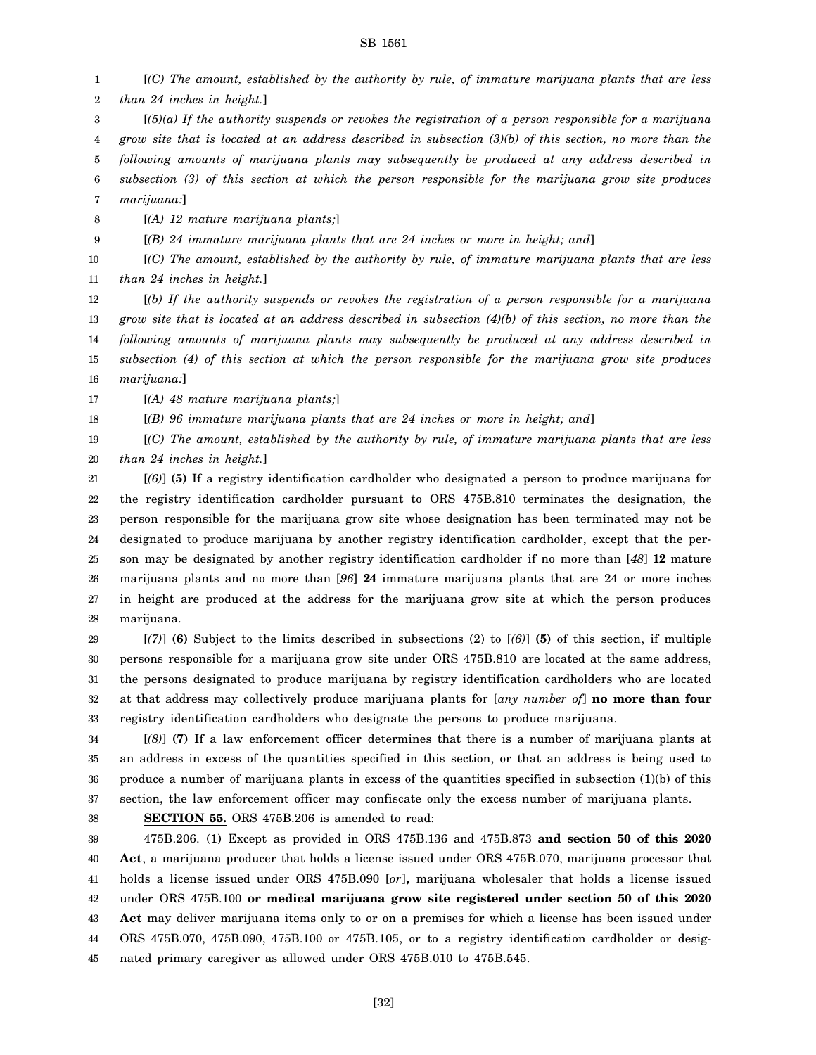1 2 [*(C) The amount, established by the authority by rule, of immature marijuana plants that are less than 24 inches in height.*]

3 [*(5)(a) If the authority suspends or revokes the registration of a person responsible for a marijuana*

4 *grow site that is located at an address described in subsection (3)(b) of this section, no more than the*

5 *following amounts of marijuana plants may subsequently be produced at any address described in*

6 7 *subsection (3) of this section at which the person responsible for the marijuana grow site produces marijuana:*]

8 [*(A) 12 mature marijuana plants;*]

9 [*(B) 24 immature marijuana plants that are 24 inches or more in height; and*]

10 11 [*(C) The amount, established by the authority by rule, of immature marijuana plants that are less than 24 inches in height.*]

12 13 14 15 16 [*(b) If the authority suspends or revokes the registration of a person responsible for a marijuana grow site that is located at an address described in subsection (4)(b) of this section, no more than the following amounts of marijuana plants may subsequently be produced at any address described in subsection (4) of this section at which the person responsible for the marijuana grow site produces marijuana:*]

17 [*(A) 48 mature marijuana plants;*]

18 [*(B) 96 immature marijuana plants that are 24 inches or more in height; and*]

19 20 [*(C) The amount, established by the authority by rule, of immature marijuana plants that are less than 24 inches in height.*]

21 22 23 24 25 26 27 28 [*(6)*] **(5)** If a registry identification cardholder who designated a person to produce marijuana for the registry identification cardholder pursuant to ORS 475B.810 terminates the designation, the person responsible for the marijuana grow site whose designation has been terminated may not be designated to produce marijuana by another registry identification cardholder, except that the person may be designated by another registry identification cardholder if no more than [*48*] **12** mature marijuana plants and no more than [*96*] **24** immature marijuana plants that are 24 or more inches in height are produced at the address for the marijuana grow site at which the person produces marijuana.

29 30 31 32 33 [*(7)*] **(6)** Subject to the limits described in subsections (2) to [*(6)*] **(5)** of this section, if multiple persons responsible for a marijuana grow site under ORS 475B.810 are located at the same address, the persons designated to produce marijuana by registry identification cardholders who are located at that address may collectively produce marijuana plants for [*any number of*] **no more than four** registry identification cardholders who designate the persons to produce marijuana.

34 35 36 37 [*(8)*] **(7)** If a law enforcement officer determines that there is a number of marijuana plants at an address in excess of the quantities specified in this section, or that an address is being used to produce a number of marijuana plants in excess of the quantities specified in subsection (1)(b) of this section, the law enforcement officer may confiscate only the excess number of marijuana plants.

38

**SECTION 55.** ORS 475B.206 is amended to read:

39 40 41 42 43 44 45 475B.206. (1) Except as provided in ORS 475B.136 and 475B.873 **and section 50 of this 2020 Act**, a marijuana producer that holds a license issued under ORS 475B.070, marijuana processor that holds a license issued under ORS 475B.090 [*or*]**,** marijuana wholesaler that holds a license issued under ORS 475B.100 **or medical marijuana grow site registered under section 50 of this 2020 Act** may deliver marijuana items only to or on a premises for which a license has been issued under ORS 475B.070, 475B.090, 475B.100 or 475B.105, or to a registry identification cardholder or designated primary caregiver as allowed under ORS 475B.010 to 475B.545.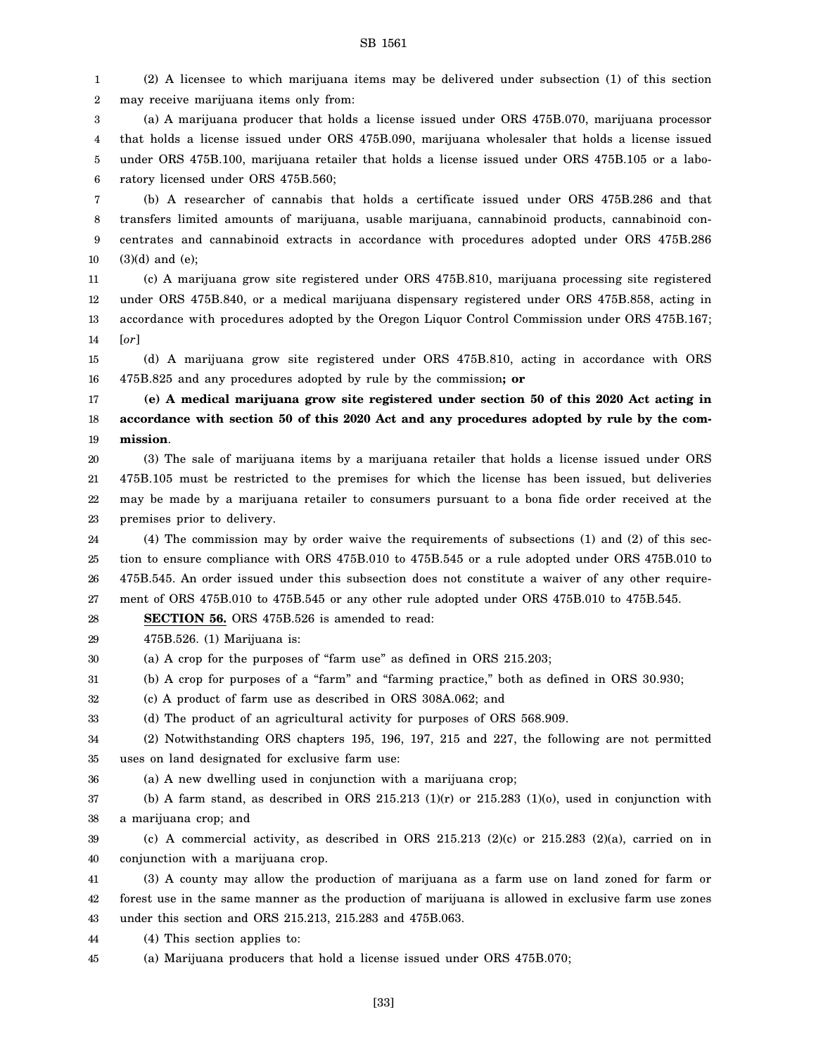1 2 (2) A licensee to which marijuana items may be delivered under subsection (1) of this section may receive marijuana items only from:

3 4 5 6 (a) A marijuana producer that holds a license issued under ORS 475B.070, marijuana processor that holds a license issued under ORS 475B.090, marijuana wholesaler that holds a license issued under ORS 475B.100, marijuana retailer that holds a license issued under ORS 475B.105 or a laboratory licensed under ORS 475B.560;

7 8 9 10 (b) A researcher of cannabis that holds a certificate issued under ORS 475B.286 and that transfers limited amounts of marijuana, usable marijuana, cannabinoid products, cannabinoid concentrates and cannabinoid extracts in accordance with procedures adopted under ORS 475B.286 (3)(d) and (e);

11 12 13 14 (c) A marijuana grow site registered under ORS 475B.810, marijuana processing site registered under ORS 475B.840, or a medical marijuana dispensary registered under ORS 475B.858, acting in accordance with procedures adopted by the Oregon Liquor Control Commission under ORS 475B.167; [*or*]

15 16 (d) A marijuana grow site registered under ORS 475B.810, acting in accordance with ORS 475B.825 and any procedures adopted by rule by the commission**; or**

17 18 19 **(e) A medical marijuana grow site registered under section 50 of this 2020 Act acting in accordance with section 50 of this 2020 Act and any procedures adopted by rule by the commission**.

20 21 22 23 (3) The sale of marijuana items by a marijuana retailer that holds a license issued under ORS 475B.105 must be restricted to the premises for which the license has been issued, but deliveries may be made by a marijuana retailer to consumers pursuant to a bona fide order received at the premises prior to delivery.

24 25 26 27 (4) The commission may by order waive the requirements of subsections (1) and (2) of this section to ensure compliance with ORS 475B.010 to 475B.545 or a rule adopted under ORS 475B.010 to 475B.545. An order issued under this subsection does not constitute a waiver of any other requirement of ORS 475B.010 to 475B.545 or any other rule adopted under ORS 475B.010 to 475B.545.

28 **SECTION 56.** ORS 475B.526 is amended to read:

29 475B.526. (1) Marijuana is:

30 (a) A crop for the purposes of "farm use" as defined in ORS 215.203;

31 (b) A crop for purposes of a "farm" and "farming practice," both as defined in ORS 30.930;

32 (c) A product of farm use as described in ORS 308A.062; and

33 (d) The product of an agricultural activity for purposes of ORS 568.909.

34 35 (2) Notwithstanding ORS chapters 195, 196, 197, 215 and 227, the following are not permitted uses on land designated for exclusive farm use:

36 (a) A new dwelling used in conjunction with a marijuana crop;

37 38 (b) A farm stand, as described in ORS 215.213  $(1)(r)$  or 215.283  $(1)(o)$ , used in conjunction with a marijuana crop; and

39 40 (c) A commercial activity, as described in ORS  $215.213$  (2)(c) or  $215.283$  (2)(a), carried on in conjunction with a marijuana crop.

41 42 43 (3) A county may allow the production of marijuana as a farm use on land zoned for farm or forest use in the same manner as the production of marijuana is allowed in exclusive farm use zones under this section and ORS 215.213, 215.283 and 475B.063.

44 (4) This section applies to:

45 (a) Marijuana producers that hold a license issued under ORS 475B.070;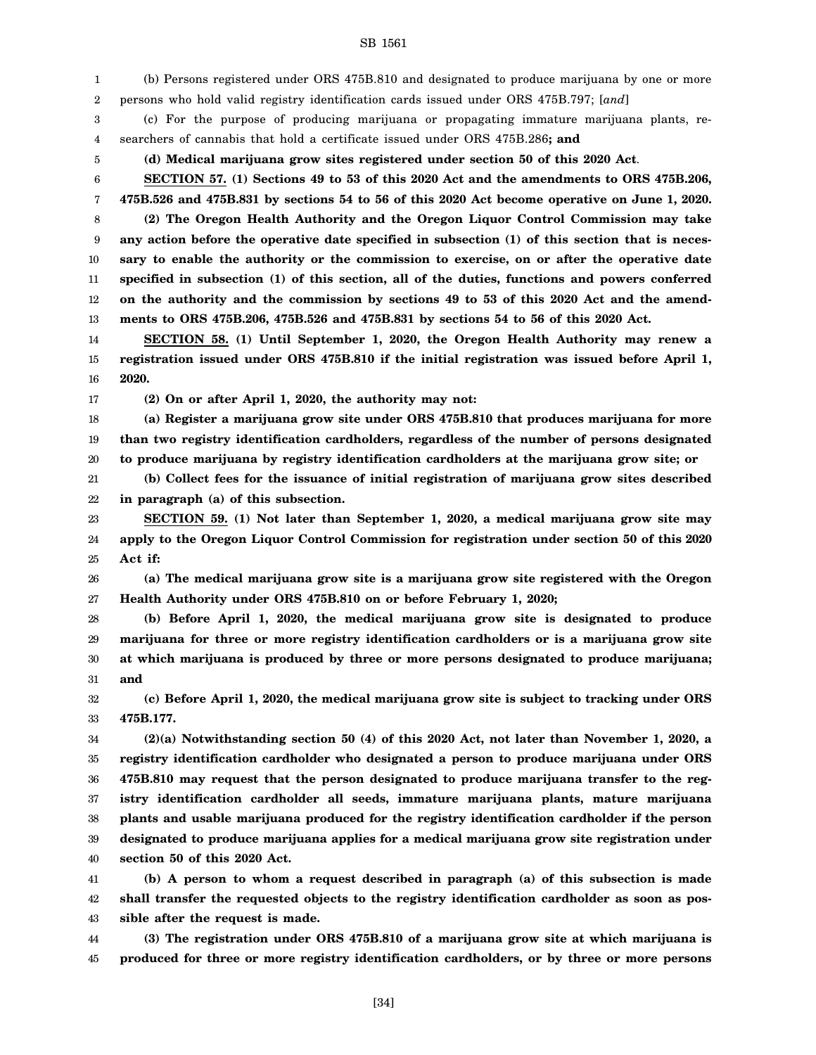1 2 (b) Persons registered under ORS 475B.810 and designated to produce marijuana by one or more persons who hold valid registry identification cards issued under ORS 475B.797; [*and*]

3 4 (c) For the purpose of producing marijuana or propagating immature marijuana plants, researchers of cannabis that hold a certificate issued under ORS 475B.286**; and**

5

**(d) Medical marijuana grow sites registered under section 50 of this 2020 Act**.

6 7 **SECTION 57. (1) Sections 49 to 53 of this 2020 Act and the amendments to ORS 475B.206, 475B.526 and 475B.831 by sections 54 to 56 of this 2020 Act become operative on June 1, 2020.**

8 9 10 11 12 13 **(2) The Oregon Health Authority and the Oregon Liquor Control Commission may take any action before the operative date specified in subsection (1) of this section that is necessary to enable the authority or the commission to exercise, on or after the operative date specified in subsection (1) of this section, all of the duties, functions and powers conferred on the authority and the commission by sections 49 to 53 of this 2020 Act and the amendments to ORS 475B.206, 475B.526 and 475B.831 by sections 54 to 56 of this 2020 Act.**

14 15 16 **SECTION 58. (1) Until September 1, 2020, the Oregon Health Authority may renew a registration issued under ORS 475B.810 if the initial registration was issued before April 1, 2020.**

17

**(2) On or after April 1, 2020, the authority may not:**

18 19 20 **(a) Register a marijuana grow site under ORS 475B.810 that produces marijuana for more than two registry identification cardholders, regardless of the number of persons designated to produce marijuana by registry identification cardholders at the marijuana grow site; or**

21 22 **(b) Collect fees for the issuance of initial registration of marijuana grow sites described in paragraph (a) of this subsection.**

23 24 25 **SECTION 59. (1) Not later than September 1, 2020, a medical marijuana grow site may apply to the Oregon Liquor Control Commission for registration under section 50 of this 2020 Act if:**

26 27 **(a) The medical marijuana grow site is a marijuana grow site registered with the Oregon Health Authority under ORS 475B.810 on or before February 1, 2020;**

28 29 30 31 **(b) Before April 1, 2020, the medical marijuana grow site is designated to produce marijuana for three or more registry identification cardholders or is a marijuana grow site at which marijuana is produced by three or more persons designated to produce marijuana; and**

32 33 **(c) Before April 1, 2020, the medical marijuana grow site is subject to tracking under ORS 475B.177.**

34 35 36 37 38 39 40 **(2)(a) Notwithstanding section 50 (4) of this 2020 Act, not later than November 1, 2020, a registry identification cardholder who designated a person to produce marijuana under ORS 475B.810 may request that the person designated to produce marijuana transfer to the registry identification cardholder all seeds, immature marijuana plants, mature marijuana plants and usable marijuana produced for the registry identification cardholder if the person designated to produce marijuana applies for a medical marijuana grow site registration under section 50 of this 2020 Act.**

41 42 43 **(b) A person to whom a request described in paragraph (a) of this subsection is made shall transfer the requested objects to the registry identification cardholder as soon as possible after the request is made.**

44 45 **(3) The registration under ORS 475B.810 of a marijuana grow site at which marijuana is produced for three or more registry identification cardholders, or by three or more persons**